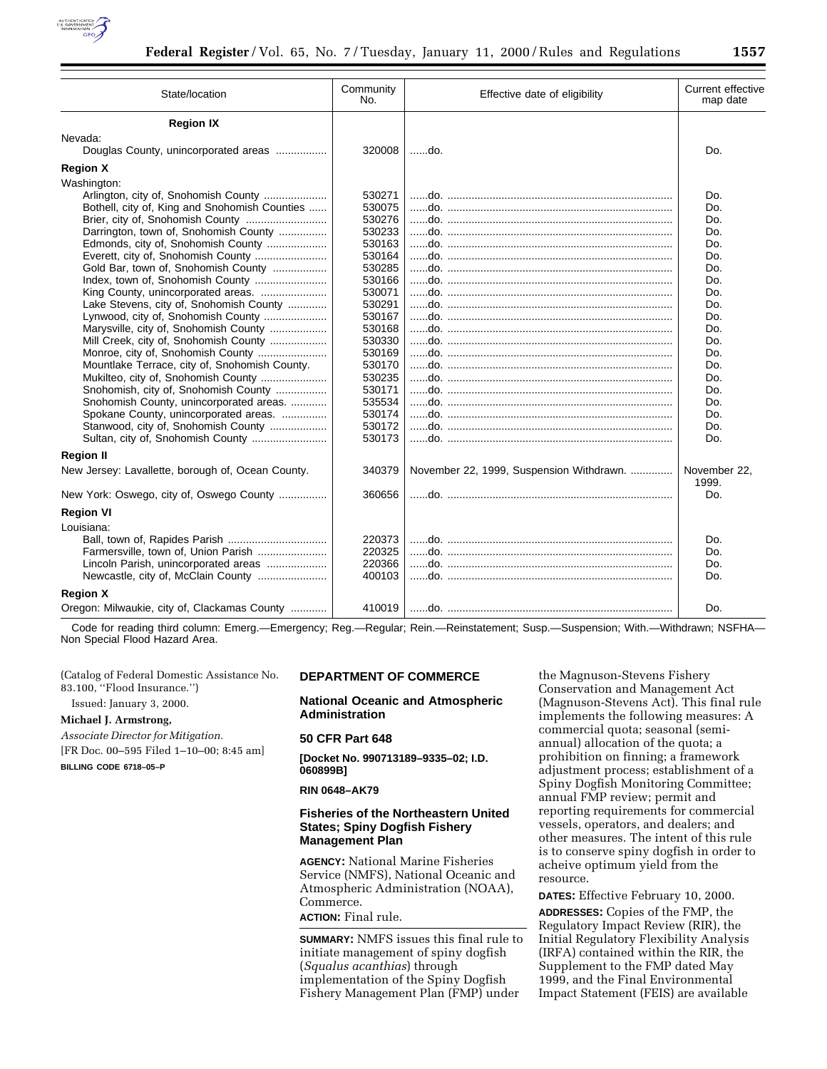

| State/location                                    | Community<br>No. | Effective date of eligibility            | <b>Current effective</b><br>map date |
|---------------------------------------------------|------------------|------------------------------------------|--------------------------------------|
| <b>Region IX</b>                                  |                  |                                          |                                      |
| Nevada:                                           |                  |                                          |                                      |
| Douglas County, unincorporated areas              | 320008           | do.                                      | Do.                                  |
| <b>Region X</b>                                   |                  |                                          |                                      |
| Washington:                                       |                  |                                          |                                      |
| Arlington, city of, Snohomish County              | 530271           |                                          | Do.                                  |
| Bothell, city of, King and Snohomish Counties     | 530075           |                                          | Do.                                  |
|                                                   | 530276           |                                          | Do.                                  |
| Darrington, town of, Snohomish County             | 530233           |                                          | Do.                                  |
| Edmonds, city of, Snohomish County                | 530163           |                                          | Do.                                  |
| Everett, city of, Snohomish County                | 530164           |                                          | Do.                                  |
| Gold Bar, town of, Snohomish County               | 530285           |                                          | Do.                                  |
| Index, town of, Snohomish County                  | 530166           |                                          | Do.                                  |
|                                                   | 530071           |                                          | Do.                                  |
| Lake Stevens, city of, Snohomish County           | 530291           |                                          | Do.                                  |
| Lynwood, city of, Snohomish County                | 530167           |                                          | Do.                                  |
| Marysville, city of, Snohomish County             | 530168           |                                          | Do.                                  |
| Mill Creek, city of, Snohomish County             | 530330           |                                          | Do.                                  |
| Monroe, city of, Snohomish County                 | 530169           |                                          | Do.                                  |
| Mountlake Terrace, city of, Snohomish County.     | 530170           |                                          | Do.                                  |
| Mukilteo, city of, Snohomish County               | 530235           |                                          | Do.                                  |
| Snohomish, city of, Snohomish County              | 530171           |                                          | Do.                                  |
| Snohomish County, unincorporated areas.           | 535534           |                                          | Do.                                  |
| Spokane County, unincorporated areas.             | 530174           |                                          | Do.                                  |
| Stanwood, city of, Snohomish County               | 530172           |                                          | Do.                                  |
|                                                   | 530173           |                                          | Do.                                  |
| <b>Region II</b>                                  |                  |                                          |                                      |
| New Jersey: Lavallette, borough of, Ocean County. | 340379           | November 22, 1999, Suspension Withdrawn. | November 22,<br>1999.                |
| New York: Oswego, city of, Oswego County          | 360656           |                                          | Do.                                  |
| <b>Region VI</b>                                  |                  |                                          |                                      |
| Louisiana:                                        |                  |                                          |                                      |
|                                                   | 220373           |                                          | Do.                                  |
|                                                   | 220325           |                                          | Do.                                  |
| Lincoln Parish, unincorporated areas              | 220366           |                                          | Do.                                  |
| Newcastle, city of, McClain County                | 400103           |                                          | Do.                                  |
| <b>Region X</b>                                   |                  |                                          |                                      |
| Oregon: Milwaukie, city of, Clackamas County      | 410019           |                                          | Do.                                  |

Code for reading third column: Emerg.—Emergency; Reg.—Regular; Rein.—Reinstatement; Susp.—Suspension; With.—Withdrawn; NSFHA— Non Special Flood Hazard Area.

| (Catalog of Federal Domestic Assistance No. | <b>DEPARTMENT OF COMMERCE</b>                                                                                 | the Magnuson-Stevens Fishery                                                                                             |
|---------------------------------------------|---------------------------------------------------------------------------------------------------------------|--------------------------------------------------------------------------------------------------------------------------|
| 83.100, ''Flood Insurance.'')               |                                                                                                               | Conservation and Management Act                                                                                          |
| Issued: January 3, 2000.                    | <b>National Oceanic and Atmospheric</b>                                                                       | (Magnuson-Stevens Act). This final rule                                                                                  |
| Michael J. Armstrong,                       | <b>Administration</b>                                                                                         | implements the following measures: A                                                                                     |
| Associate Director for Mitigation.          | <b>50 CFR Part 648</b>                                                                                        | commercial quota; seasonal (semi-<br>annual) allocation of the quota; a                                                  |
| [FR Doc. 00-595 Filed 1-10-00; 8:45 am]     | [Docket No. 990713189-9335-02; I.D.                                                                           | prohibition on finning; a framework                                                                                      |
| BILLING CODE 6718-05-P                      | 060899B1                                                                                                      | adjustment process; establishment of a                                                                                   |
|                                             | <b>RIN 0648-AK79</b>                                                                                          | Spiny Dogfish Monitoring Committee;<br>annual FMP review; permit and                                                     |
|                                             | <b>Fisheries of the Northeastern United</b><br><b>States; Spiny Dogfish Fishery</b><br><b>Management Plan</b> | reporting requirements for commercial<br>vessels, operators, and dealers; and<br>other measures. The intent of this rule |
|                                             | <b>AGENCY:</b> National Marine Fisheries<br>Service (NMFS), National Oceanic and                              | is to conserve spiny dogfish in order to<br>acheive optimum yield from the<br>resource.                                  |

**DATES:** Effective February 10, 2000. **ADDRESSES:** Copies of the FMP, the Regulatory Impact Review (RIR), the Initial Regulatory Flexibility Analysis (IRFA) contained within the RIR, the Supplement to the FMP dated May 1999, and the Final Environmental Impact Statement (FEIS) are available

Service (NMFS), National Oceanic and Atmospheric Administration (NOAA), Commerce.

**ACTION:** Final rule.

**SUMMARY:** NMFS issues this final rule to initiate management of spiny dogfish (*Squalus acanthias*) through implementation of the Spiny Dogfish Fishery Management Plan (FMP) under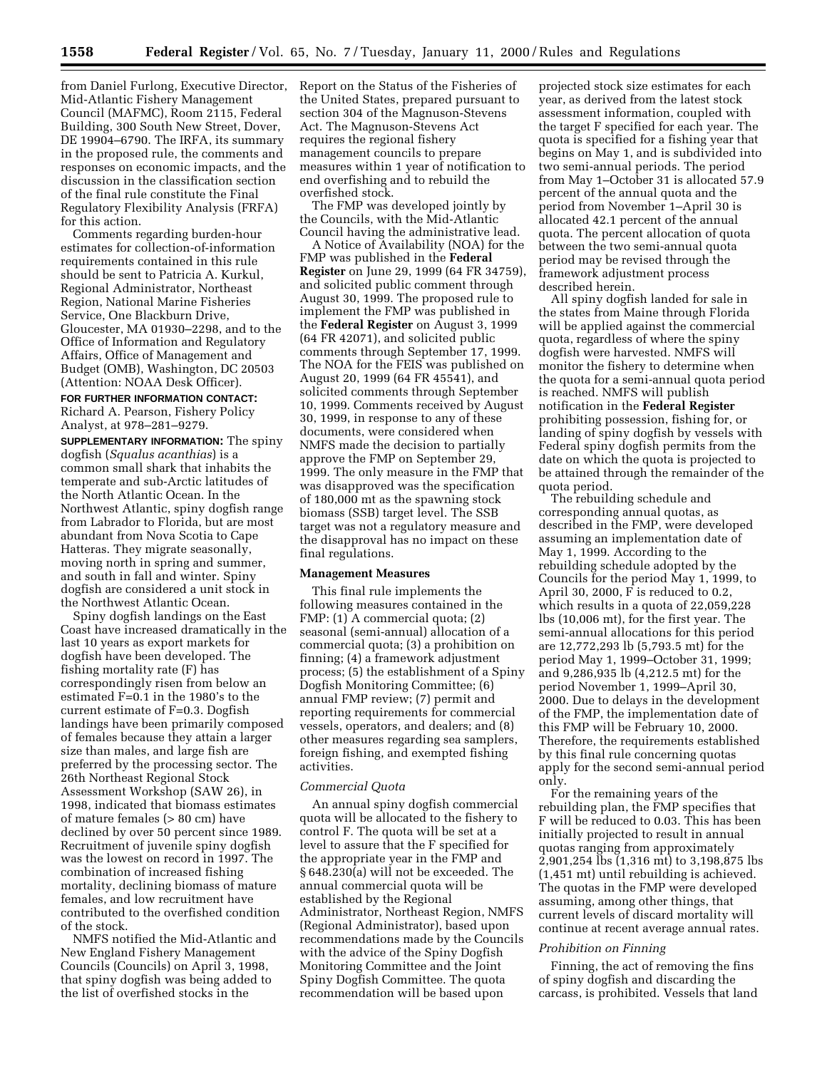from Daniel Furlong, Executive Director, Mid-Atlantic Fishery Management Council (MAFMC), Room 2115, Federal Building, 300 South New Street, Dover, DE 19904–6790. The IRFA, its summary in the proposed rule, the comments and responses on economic impacts, and the discussion in the classification section of the final rule constitute the Final Regulatory Flexibility Analysis (FRFA) for this action.

Comments regarding burden-hour estimates for collection-of-information requirements contained in this rule should be sent to Patricia A. Kurkul, Regional Administrator, Northeast Region, National Marine Fisheries Service, One Blackburn Drive, Gloucester, MA 01930–2298, and to the Office of Information and Regulatory Affairs, Office of Management and Budget (OMB), Washington, DC 20503 (Attention: NOAA Desk Officer).

# **FOR FURTHER INFORMATION CONTACT:** Richard A. Pearson, Fishery Policy Analyst, at 978–281–9279.

**SUPPLEMENTARY INFORMATION:** The spiny dogfish (*Squalus acanthias*) is a common small shark that inhabits the temperate and sub-Arctic latitudes of the North Atlantic Ocean. In the Northwest Atlantic, spiny dogfish range from Labrador to Florida, but are most abundant from Nova Scotia to Cape Hatteras. They migrate seasonally, moving north in spring and summer, and south in fall and winter. Spiny dogfish are considered a unit stock in the Northwest Atlantic Ocean.

Spiny dogfish landings on the East Coast have increased dramatically in the last 10 years as export markets for dogfish have been developed. The fishing mortality rate (F) has correspondingly risen from below an estimated F=0.1 in the 1980's to the current estimate of F=0.3. Dogfish landings have been primarily composed of females because they attain a larger size than males, and large fish are preferred by the processing sector. The 26th Northeast Regional Stock Assessment Workshop (SAW 26), in 1998, indicated that biomass estimates of mature females (> 80 cm) have declined by over 50 percent since 1989. Recruitment of juvenile spiny dogfish was the lowest on record in 1997. The combination of increased fishing mortality, declining biomass of mature females, and low recruitment have contributed to the overfished condition of the stock.

NMFS notified the Mid-Atlantic and New England Fishery Management Councils (Councils) on April 3, 1998, that spiny dogfish was being added to the list of overfished stocks in the

Report on the Status of the Fisheries of the United States, prepared pursuant to section 304 of the Magnuson-Stevens Act. The Magnuson-Stevens Act requires the regional fishery management councils to prepare measures within 1 year of notification to end overfishing and to rebuild the overfished stock.

The FMP was developed jointly by the Councils, with the Mid-Atlantic Council having the administrative lead.

A Notice of Availability (NOA) for the FMP was published in the **Federal Register** on June 29, 1999 (64 FR 34759), and solicited public comment through August 30, 1999. The proposed rule to implement the FMP was published in the **Federal Register** on August 3, 1999 (64 FR 42071), and solicited public comments through September 17, 1999. The NOA for the FEIS was published on August 20, 1999 (64 FR 45541), and solicited comments through September 10, 1999. Comments received by August 30, 1999, in response to any of these documents, were considered when NMFS made the decision to partially approve the FMP on September 29, 1999. The only measure in the FMP that was disapproved was the specification of 180,000 mt as the spawning stock biomass (SSB) target level. The SSB target was not a regulatory measure and the disapproval has no impact on these final regulations.

#### **Management Measures**

This final rule implements the following measures contained in the FMP: (1) A commercial quota; (2) seasonal (semi-annual) allocation of a commercial quota; (3) a prohibition on finning; (4) a framework adjustment process; (5) the establishment of a Spiny Dogfish Monitoring Committee; (6) annual FMP review; (7) permit and reporting requirements for commercial vessels, operators, and dealers; and (8) other measures regarding sea samplers, foreign fishing, and exempted fishing activities.

### *Commercial Quota*

An annual spiny dogfish commercial quota will be allocated to the fishery to control F. The quota will be set at a level to assure that the F specified for the appropriate year in the FMP and § 648.230(a) will not be exceeded. The annual commercial quota will be established by the Regional Administrator, Northeast Region, NMFS (Regional Administrator), based upon recommendations made by the Councils with the advice of the Spiny Dogfish Monitoring Committee and the Joint Spiny Dogfish Committee. The quota recommendation will be based upon

projected stock size estimates for each year, as derived from the latest stock assessment information, coupled with the target F specified for each year. The quota is specified for a fishing year that begins on May 1, and is subdivided into two semi-annual periods. The period from May 1–October 31 is allocated 57.9 percent of the annual quota and the period from November 1–April 30 is allocated 42.1 percent of the annual quota. The percent allocation of quota between the two semi-annual quota period may be revised through the framework adjustment process described herein.

All spiny dogfish landed for sale in the states from Maine through Florida will be applied against the commercial quota, regardless of where the spiny dogfish were harvested. NMFS will monitor the fishery to determine when the quota for a semi-annual quota period is reached. NMFS will publish notification in the **Federal Register** prohibiting possession, fishing for, or landing of spiny dogfish by vessels with Federal spiny dogfish permits from the date on which the quota is projected to be attained through the remainder of the quota period.

The rebuilding schedule and corresponding annual quotas, as described in the FMP, were developed assuming an implementation date of May 1, 1999. According to the rebuilding schedule adopted by the Councils for the period May 1, 1999, to April 30, 2000, F is reduced to 0.2, which results in a quota of 22,059,228 lbs (10,006 mt), for the first year. The semi-annual allocations for this period are 12,772,293 lb (5,793.5 mt) for the period May 1, 1999–October 31, 1999; and 9,286,935 lb (4,212.5 mt) for the period November 1, 1999–April 30, 2000. Due to delays in the development of the FMP, the implementation date of this FMP will be February 10, 2000. Therefore, the requirements established by this final rule concerning quotas apply for the second semi-annual period only.

For the remaining years of the rebuilding plan, the FMP specifies that F will be reduced to 0.03. This has been initially projected to result in annual quotas ranging from approximately 2,901,254 lbs (1,316 mt) to 3,198,875 lbs (1,451 mt) until rebuilding is achieved. The quotas in the FMP were developed assuming, among other things, that current levels of discard mortality will continue at recent average annual rates.

### *Prohibition on Finning*

Finning, the act of removing the fins of spiny dogfish and discarding the carcass, is prohibited. Vessels that land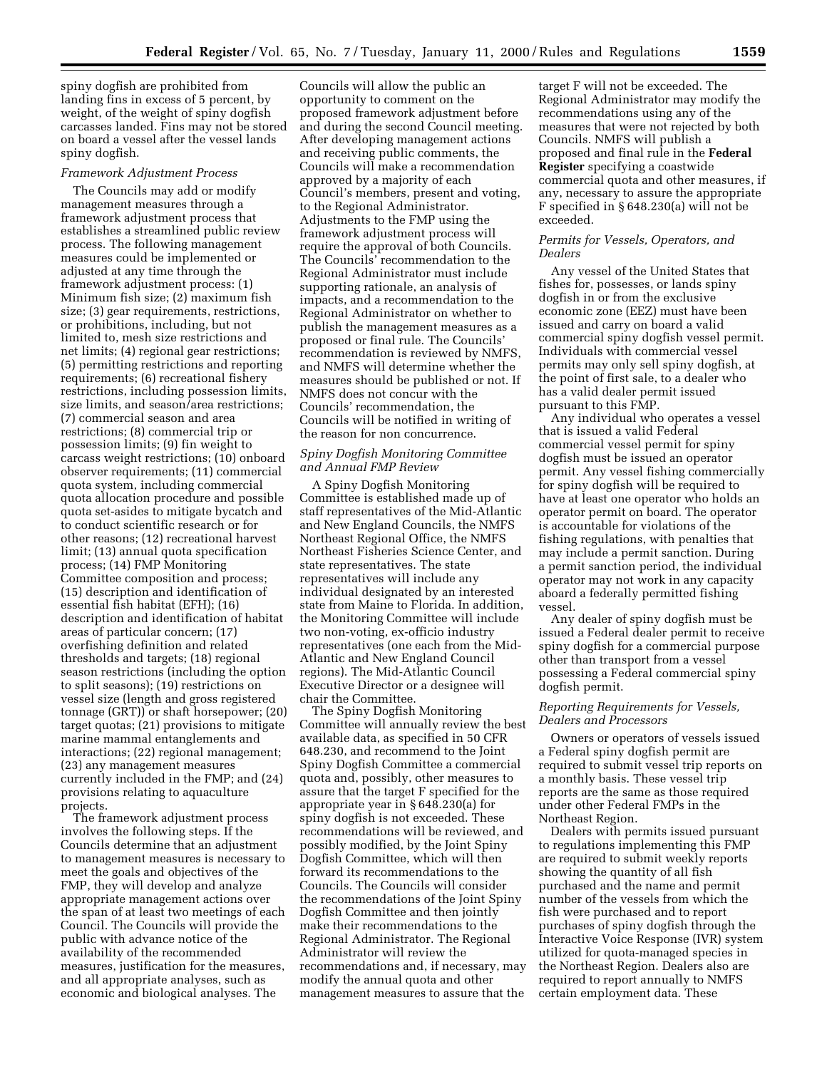spiny dogfish are prohibited from landing fins in excess of 5 percent, by weight, of the weight of spiny dogfish carcasses landed. Fins may not be stored on board a vessel after the vessel lands spiny dogfish.

#### *Framework Adjustment Process*

The Councils may add or modify management measures through a framework adjustment process that establishes a streamlined public review process. The following management measures could be implemented or adjusted at any time through the framework adjustment process: (1) Minimum fish size; (2) maximum fish size; (3) gear requirements, restrictions, or prohibitions, including, but not limited to, mesh size restrictions and net limits; (4) regional gear restrictions; (5) permitting restrictions and reporting requirements; (6) recreational fishery restrictions, including possession limits, size limits, and season/area restrictions; (7) commercial season and area restrictions; (8) commercial trip or possession limits; (9) fin weight to carcass weight restrictions; (10) onboard observer requirements; (11) commercial quota system, including commercial quota allocation procedure and possible quota set-asides to mitigate bycatch and to conduct scientific research or for other reasons; (12) recreational harvest limit; (13) annual quota specification process; (14) FMP Monitoring Committee composition and process; (15) description and identification of essential fish habitat (EFH); (16) description and identification of habitat areas of particular concern; (17) overfishing definition and related thresholds and targets; (18) regional season restrictions (including the option to split seasons); (19) restrictions on vessel size (length and gross registered tonnage (GRT)) or shaft horsepower; (20) target quotas; (21) provisions to mitigate marine mammal entanglements and interactions; (22) regional management; (23) any management measures currently included in the FMP; and (24) provisions relating to aquaculture projects.

The framework adjustment process involves the following steps. If the Councils determine that an adjustment to management measures is necessary to meet the goals and objectives of the FMP, they will develop and analyze appropriate management actions over the span of at least two meetings of each Council. The Councils will provide the public with advance notice of the availability of the recommended measures, justification for the measures, and all appropriate analyses, such as economic and biological analyses. The

Councils will allow the public an opportunity to comment on the proposed framework adjustment before and during the second Council meeting. After developing management actions and receiving public comments, the Councils will make a recommendation approved by a majority of each Council's members, present and voting, to the Regional Administrator. Adjustments to the FMP using the framework adjustment process will require the approval of both Councils. The Councils' recommendation to the Regional Administrator must include supporting rationale, an analysis of impacts, and a recommendation to the Regional Administrator on whether to publish the management measures as a proposed or final rule. The Councils' recommendation is reviewed by NMFS, and NMFS will determine whether the measures should be published or not. If NMFS does not concur with the Councils' recommendation, the Councils will be notified in writing of the reason for non concurrence.

## *Spiny Dogfish Monitoring Committee and Annual FMP Review*

A Spiny Dogfish Monitoring Committee is established made up of staff representatives of the Mid-Atlantic and New England Councils, the NMFS Northeast Regional Office, the NMFS Northeast Fisheries Science Center, and state representatives. The state representatives will include any individual designated by an interested state from Maine to Florida. In addition, the Monitoring Committee will include two non-voting, ex-officio industry representatives (one each from the Mid-Atlantic and New England Council regions). The Mid-Atlantic Council Executive Director or a designee will chair the Committee.

The Spiny Dogfish Monitoring Committee will annually review the best available data, as specified in 50 CFR 648.230, and recommend to the Joint Spiny Dogfish Committee a commercial quota and, possibly, other measures to assure that the target F specified for the appropriate year in § 648.230(a) for spiny dogfish is not exceeded. These recommendations will be reviewed, and possibly modified, by the Joint Spiny Dogfish Committee, which will then forward its recommendations to the Councils. The Councils will consider the recommendations of the Joint Spiny Dogfish Committee and then jointly make their recommendations to the Regional Administrator. The Regional Administrator will review the recommendations and, if necessary, may modify the annual quota and other management measures to assure that the

target F will not be exceeded. The Regional Administrator may modify the recommendations using any of the measures that were not rejected by both Councils. NMFS will publish a proposed and final rule in the **Federal Register** specifying a coastwide commercial quota and other measures, if any, necessary to assure the appropriate F specified in § 648.230(a) will not be exceeded.

### *Permits for Vessels, Operators, and Dealers*

Any vessel of the United States that fishes for, possesses, or lands spiny dogfish in or from the exclusive economic zone (EEZ) must have been issued and carry on board a valid commercial spiny dogfish vessel permit. Individuals with commercial vessel permits may only sell spiny dogfish, at the point of first sale, to a dealer who has a valid dealer permit issued pursuant to this FMP.

Any individual who operates a vessel that is issued a valid Federal commercial vessel permit for spiny dogfish must be issued an operator permit. Any vessel fishing commercially for spiny dogfish will be required to have at least one operator who holds an operator permit on board. The operator is accountable for violations of the fishing regulations, with penalties that may include a permit sanction. During a permit sanction period, the individual operator may not work in any capacity aboard a federally permitted fishing vessel.

Any dealer of spiny dogfish must be issued a Federal dealer permit to receive spiny dogfish for a commercial purpose other than transport from a vessel possessing a Federal commercial spiny dogfish permit.

## *Reporting Requirements for Vessels, Dealers and Processors*

Owners or operators of vessels issued a Federal spiny dogfish permit are required to submit vessel trip reports on a monthly basis. These vessel trip reports are the same as those required under other Federal FMPs in the Northeast Region.

Dealers with permits issued pursuant to regulations implementing this FMP are required to submit weekly reports showing the quantity of all fish purchased and the name and permit number of the vessels from which the fish were purchased and to report purchases of spiny dogfish through the Interactive Voice Response (IVR) system utilized for quota-managed species in the Northeast Region. Dealers also are required to report annually to NMFS certain employment data. These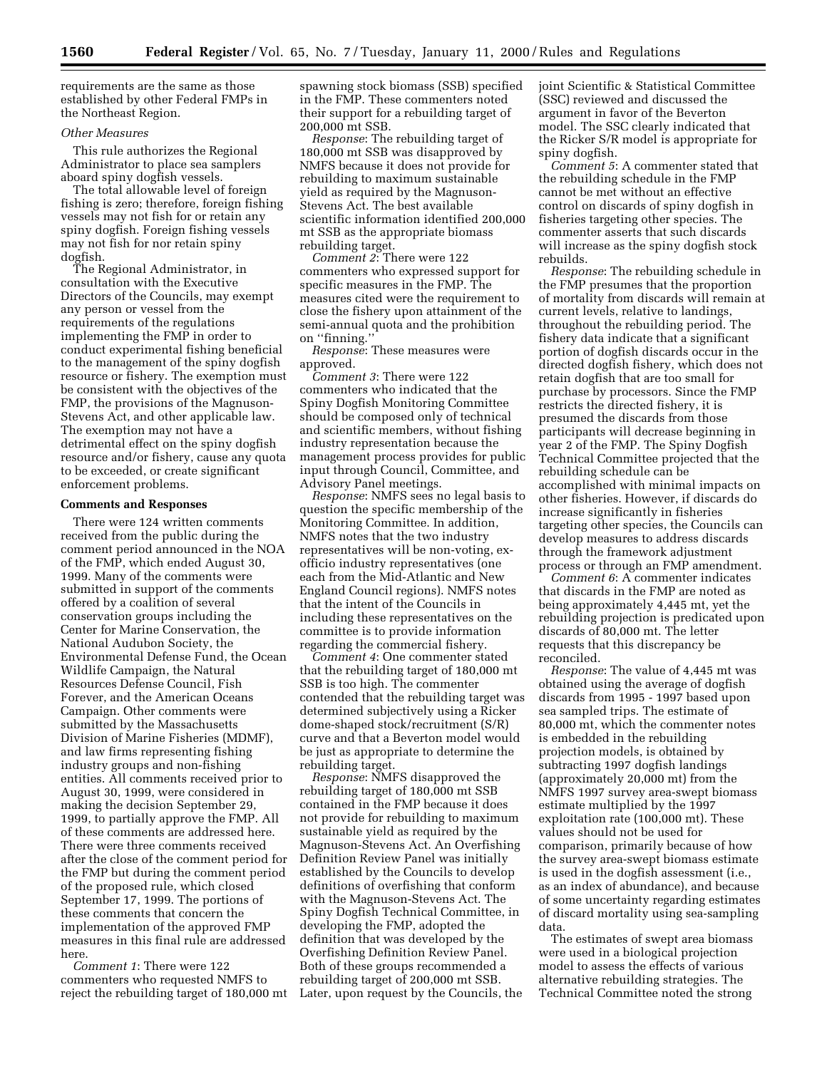requirements are the same as those established by other Federal FMPs in the Northeast Region.

# *Other Measures*

This rule authorizes the Regional Administrator to place sea samplers aboard spiny dogfish vessels.

The total allowable level of foreign fishing is zero; therefore, foreign fishing vessels may not fish for or retain any spiny dogfish. Foreign fishing vessels may not fish for nor retain spiny dogfish.

The Regional Administrator, in consultation with the Executive Directors of the Councils, may exempt any person or vessel from the requirements of the regulations implementing the FMP in order to conduct experimental fishing beneficial to the management of the spiny dogfish resource or fishery. The exemption must be consistent with the objectives of the FMP, the provisions of the Magnuson-Stevens Act, and other applicable law. The exemption may not have a detrimental effect on the spiny dogfish resource and/or fishery, cause any quota to be exceeded, or create significant enforcement problems.

### **Comments and Responses**

There were 124 written comments received from the public during the comment period announced in the NOA of the FMP, which ended August 30, 1999. Many of the comments were submitted in support of the comments offered by a coalition of several conservation groups including the Center for Marine Conservation, the National Audubon Society, the Environmental Defense Fund, the Ocean Wildlife Campaign, the Natural Resources Defense Council, Fish Forever, and the American Oceans Campaign. Other comments were submitted by the Massachusetts Division of Marine Fisheries (MDMF), and law firms representing fishing industry groups and non-fishing entities. All comments received prior to August 30, 1999, were considered in making the decision September 29, 1999, to partially approve the FMP. All of these comments are addressed here. There were three comments received after the close of the comment period for the FMP but during the comment period of the proposed rule, which closed September 17, 1999. The portions of these comments that concern the implementation of the approved FMP measures in this final rule are addressed here.

*Comment 1*: There were 122 commenters who requested NMFS to reject the rebuilding target of 180,000 mt spawning stock biomass (SSB) specified in the FMP. These commenters noted their support for a rebuilding target of 200,000 mt SSB.

*Response*: The rebuilding target of 180,000 mt SSB was disapproved by NMFS because it does not provide for rebuilding to maximum sustainable yield as required by the Magnuson-Stevens Act. The best available scientific information identified 200,000 mt SSB as the appropriate biomass rebuilding target.

*Comment 2*: There were 122 commenters who expressed support for specific measures in the FMP. The measures cited were the requirement to close the fishery upon attainment of the semi-annual quota and the prohibition on ''finning.''

*Response*: These measures were approved.

*Comment 3*: There were 122 commenters who indicated that the Spiny Dogfish Monitoring Committee should be composed only of technical and scientific members, without fishing industry representation because the management process provides for public input through Council, Committee, and Advisory Panel meetings.

*Response*: NMFS sees no legal basis to question the specific membership of the Monitoring Committee. In addition, NMFS notes that the two industry representatives will be non-voting, exofficio industry representatives (one each from the Mid-Atlantic and New England Council regions). NMFS notes that the intent of the Councils in including these representatives on the committee is to provide information regarding the commercial fishery.

*Comment 4*: One commenter stated that the rebuilding target of 180,000 mt SSB is too high. The commenter contended that the rebuilding target was determined subjectively using a Ricker dome-shaped stock/recruitment (S/R) curve and that a Beverton model would be just as appropriate to determine the rebuilding target.

*Response*: NMFS disapproved the rebuilding target of 180,000 mt SSB contained in the FMP because it does not provide for rebuilding to maximum sustainable yield as required by the Magnuson-Stevens Act. An Overfishing Definition Review Panel was initially established by the Councils to develop definitions of overfishing that conform with the Magnuson-Stevens Act. The Spiny Dogfish Technical Committee, in developing the FMP, adopted the definition that was developed by the Overfishing Definition Review Panel. Both of these groups recommended a rebuilding target of 200,000 mt SSB. Later, upon request by the Councils, the joint Scientific & Statistical Committee (SSC) reviewed and discussed the argument in favor of the Beverton model. The SSC clearly indicated that the Ricker S/R model is appropriate for spiny dogfish.

*Comment 5*: A commenter stated that the rebuilding schedule in the FMP cannot be met without an effective control on discards of spiny dogfish in fisheries targeting other species. The commenter asserts that such discards will increase as the spiny dogfish stock rebuilds.

*Response*: The rebuilding schedule in the FMP presumes that the proportion of mortality from discards will remain at current levels, relative to landings, throughout the rebuilding period. The fishery data indicate that a significant portion of dogfish discards occur in the directed dogfish fishery, which does not retain dogfish that are too small for purchase by processors. Since the FMP restricts the directed fishery, it is presumed the discards from those participants will decrease beginning in year 2 of the FMP. The Spiny Dogfish Technical Committee projected that the rebuilding schedule can be accomplished with minimal impacts on other fisheries. However, if discards do increase significantly in fisheries targeting other species, the Councils can develop measures to address discards through the framework adjustment process or through an FMP amendment.

*Comment 6*: A commenter indicates that discards in the FMP are noted as being approximately 4,445 mt, yet the rebuilding projection is predicated upon discards of 80,000 mt. The letter requests that this discrepancy be reconciled.

*Response*: The value of 4,445 mt was obtained using the average of dogfish discards from 1995 - 1997 based upon sea sampled trips. The estimate of 80,000 mt, which the commenter notes is embedded in the rebuilding projection models, is obtained by subtracting 1997 dogfish landings (approximately 20,000 mt) from the NMFS 1997 survey area-swept biomass estimate multiplied by the 1997 exploitation rate (100,000 mt). These values should not be used for comparison, primarily because of how the survey area-swept biomass estimate is used in the dogfish assessment (i.e., as an index of abundance), and because of some uncertainty regarding estimates of discard mortality using sea-sampling data.

The estimates of swept area biomass were used in a biological projection model to assess the effects of various alternative rebuilding strategies. The Technical Committee noted the strong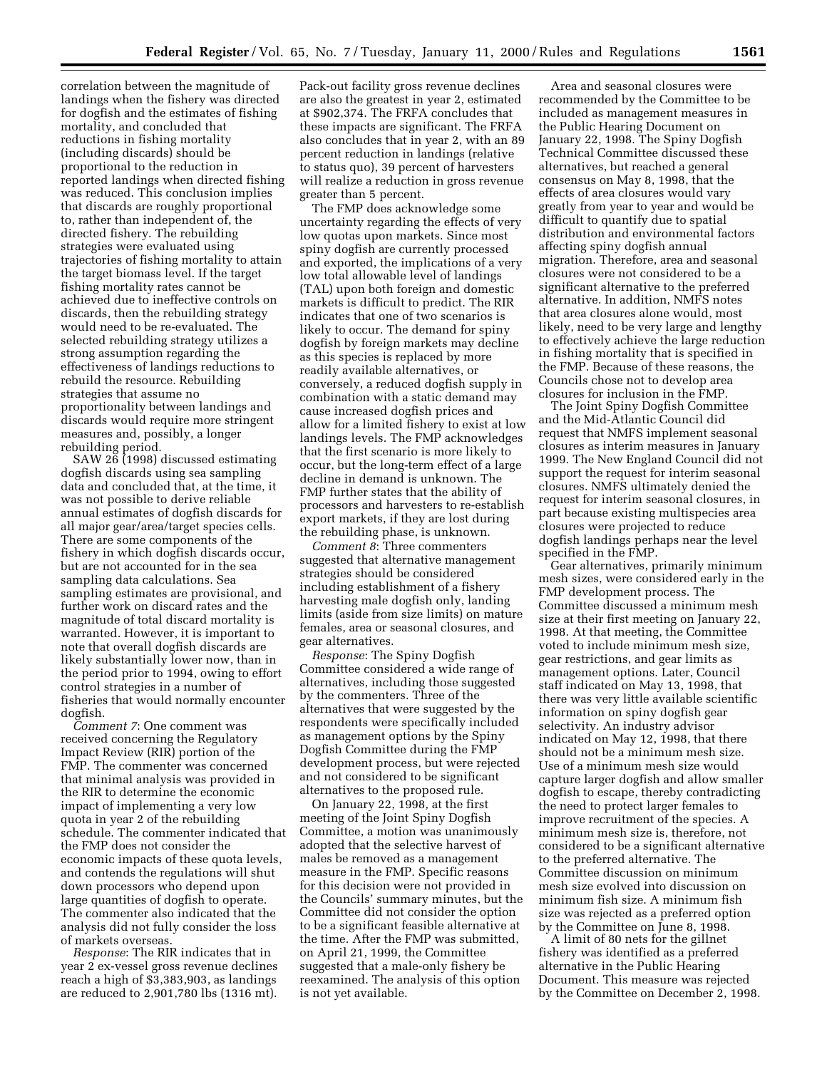correlation between the magnitude of landings when the fishery was directed for dogfish and the estimates of fishing mortality, and concluded that reductions in fishing mortality (including discards) should be proportional to the reduction in reported landings when directed fishing was reduced. This conclusion implies that discards are roughly proportional to, rather than independent of, the directed fishery. The rebuilding strategies were evaluated using trajectories of fishing mortality to attain the target biomass level. If the target fishing mortality rates cannot be achieved due to ineffective controls on discards, then the rebuilding strategy would need to be re-evaluated. The selected rebuilding strategy utilizes a strong assumption regarding the effectiveness of landings reductions to rebuild the resource. Rebuilding strategies that assume no proportionality between landings and discards would require more stringent measures and, possibly, a longer rebuilding period.

SAW 26 (1998) discussed estimating dogfish discards using sea sampling data and concluded that, at the time, it was not possible to derive reliable annual estimates of dogfish discards for all major gear/area/target species cells. There are some components of the fishery in which dogfish discards occur, but are not accounted for in the sea sampling data calculations. Sea sampling estimates are provisional, and further work on discard rates and the magnitude of total discard mortality is warranted. However, it is important to note that overall dogfish discards are likely substantially lower now, than in the period prior to 1994, owing to effort control strategies in a number of fisheries that would normally encounter dogfish.

*Comment 7*: One comment was received concerning the Regulatory Impact Review (RIR) portion of the FMP. The commenter was concerned that minimal analysis was provided in the RIR to determine the economic impact of implementing a very low quota in year 2 of the rebuilding schedule. The commenter indicated that the FMP does not consider the economic impacts of these quota levels, and contends the regulations will shut down processors who depend upon large quantities of dogfish to operate. The commenter also indicated that the analysis did not fully consider the loss of markets overseas.

*Response*: The RIR indicates that in year 2 ex-vessel gross revenue declines reach a high of \$3,383,903, as landings are reduced to 2,901,780 lbs (1316 mt).

Pack-out facility gross revenue declines are also the greatest in year 2, estimated at \$902,374. The FRFA concludes that these impacts are significant. The FRFA also concludes that in year 2, with an 89 percent reduction in landings (relative to status quo), 39 percent of harvesters will realize a reduction in gross revenue greater than 5 percent.

The FMP does acknowledge some uncertainty regarding the effects of very low quotas upon markets. Since most spiny dogfish are currently processed and exported, the implications of a very low total allowable level of landings (TAL) upon both foreign and domestic markets is difficult to predict. The RIR indicates that one of two scenarios is likely to occur. The demand for spiny dogfish by foreign markets may decline as this species is replaced by more readily available alternatives, or conversely, a reduced dogfish supply in combination with a static demand may cause increased dogfish prices and allow for a limited fishery to exist at low landings levels. The FMP acknowledges that the first scenario is more likely to occur, but the long-term effect of a large decline in demand is unknown. The FMP further states that the ability of processors and harvesters to re-establish export markets, if they are lost during the rebuilding phase, is unknown.

*Comment 8*: Three commenters suggested that alternative management strategies should be considered including establishment of a fishery harvesting male dogfish only, landing limits (aside from size limits) on mature females, area or seasonal closures, and gear alternatives.

*Response*: The Spiny Dogfish Committee considered a wide range of alternatives, including those suggested by the commenters. Three of the alternatives that were suggested by the respondents were specifically included as management options by the Spiny Dogfish Committee during the FMP development process, but were rejected and not considered to be significant alternatives to the proposed rule.

On January 22, 1998*,* at the first meeting of the Joint Spiny Dogfish Committee, a motion was unanimously adopted that the selective harvest of males be removed as a management measure in the FMP. Specific reasons for this decision were not provided in the Councils' summary minutes, but the Committee did not consider the option to be a significant feasible alternative at the time. After the FMP was submitted, on April 21, 1999, the Committee suggested that a male-only fishery be reexamined. The analysis of this option is not yet available.

Area and seasonal closures were recommended by the Committee to be included as management measures in the Public Hearing Document on January 22, 1998. The Spiny Dogfish Technical Committee discussed these alternatives, but reached a general consensus on May 8, 1998, that the effects of area closures would vary greatly from year to year and would be difficult to quantify due to spatial distribution and environmental factors affecting spiny dogfish annual migration. Therefore, area and seasonal closures were not considered to be a significant alternative to the preferred alternative. In addition, NMFS notes that area closures alone would, most likely, need to be very large and lengthy to effectively achieve the large reduction in fishing mortality that is specified in the FMP. Because of these reasons, the Councils chose not to develop area closures for inclusion in the FMP.

The Joint Spiny Dogfish Committee and the Mid-Atlantic Council did request that NMFS implement seasonal closures as interim measures in January 1999. The New England Council did not support the request for interim seasonal closures. NMFS ultimately denied the request for interim seasonal closures, in part because existing multispecies area closures were projected to reduce dogfish landings perhaps near the level specified in the FMP.

Gear alternatives, primarily minimum mesh sizes, were considered early in the FMP development process. The Committee discussed a minimum mesh size at their first meeting on January 22, 1998. At that meeting, the Committee voted to include minimum mesh size, gear restrictions, and gear limits as management options. Later, Council staff indicated on May 13, 1998, that there was very little available scientific information on spiny dogfish gear selectivity. An industry advisor indicated on May 12, 1998, that there should not be a minimum mesh size. Use of a minimum mesh size would capture larger dogfish and allow smaller dogfish to escape, thereby contradicting the need to protect larger females to improve recruitment of the species. A minimum mesh size is, therefore, not considered to be a significant alternative to the preferred alternative. The Committee discussion on minimum mesh size evolved into discussion on minimum fish size. A minimum fish size was rejected as a preferred option by the Committee on June 8, 1998.

A limit of 80 nets for the gillnet fishery was identified as a preferred alternative in the Public Hearing Document. This measure was rejected by the Committee on December 2, 1998.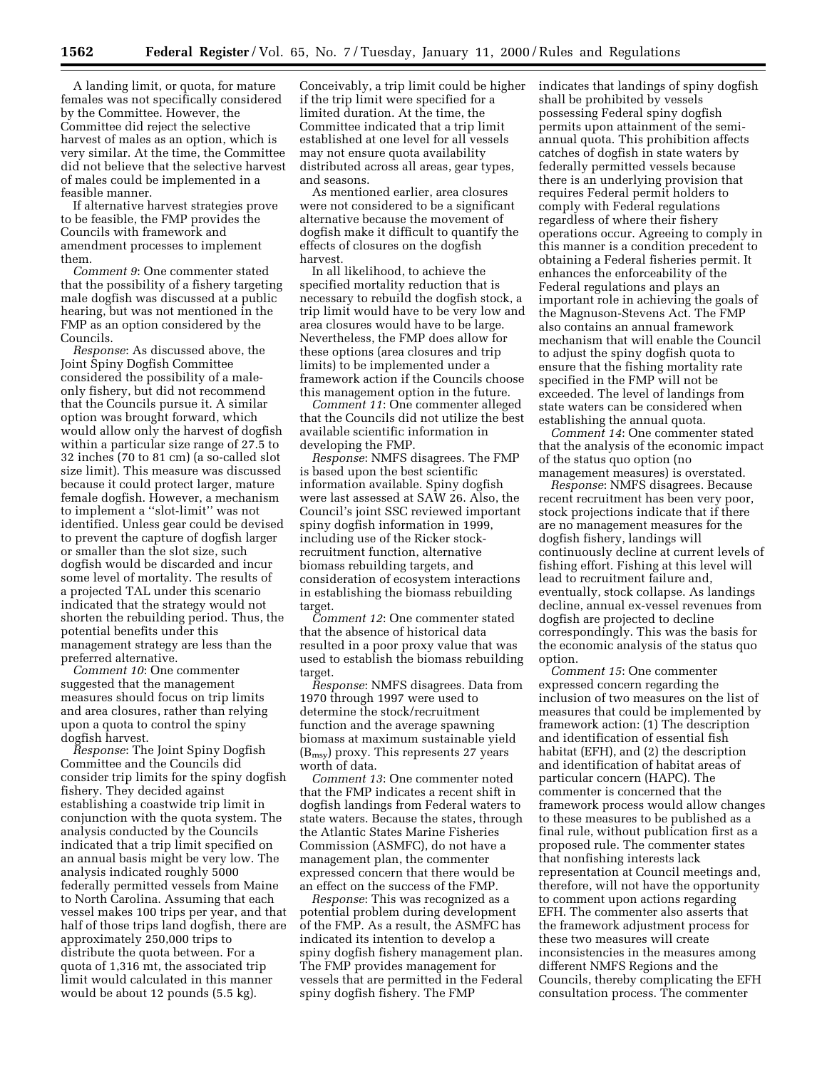A landing limit, or quota, for mature females was not specifically considered by the Committee. However, the Committee did reject the selective harvest of males as an option, which is very similar. At the time, the Committee did not believe that the selective harvest of males could be implemented in a feasible manner.

If alternative harvest strategies prove to be feasible, the FMP provides the Councils with framework and amendment processes to implement them.

*Comment 9*: One commenter stated that the possibility of a fishery targeting male dogfish was discussed at a public hearing, but was not mentioned in the FMP as an option considered by the Councils.

*Response*: As discussed above, the Joint Spiny Dogfish Committee considered the possibility of a maleonly fishery, but did not recommend that the Councils pursue it. A similar option was brought forward, which would allow only the harvest of dogfish within a particular size range of 27.5 to 32 inches (70 to 81 cm) (a so-called slot size limit). This measure was discussed because it could protect larger, mature female dogfish. However, a mechanism to implement a ''slot-limit'' was not identified. Unless gear could be devised to prevent the capture of dogfish larger or smaller than the slot size, such dogfish would be discarded and incur some level of mortality. The results of a projected TAL under this scenario indicated that the strategy would not shorten the rebuilding period. Thus, the potential benefits under this management strategy are less than the preferred alternative.

*Comment 10*: One commenter suggested that the management measures should focus on trip limits and area closures, rather than relying upon a quota to control the spiny dogfish harvest.

*Response*: The Joint Spiny Dogfish Committee and the Councils did consider trip limits for the spiny dogfish fishery. They decided against establishing a coastwide trip limit in conjunction with the quota system. The analysis conducted by the Councils indicated that a trip limit specified on an annual basis might be very low. The analysis indicated roughly 5000 federally permitted vessels from Maine to North Carolina. Assuming that each vessel makes 100 trips per year, and that half of those trips land dogfish, there are approximately 250,000 trips to distribute the quota between. For a quota of 1,316 mt, the associated trip limit would calculated in this manner would be about 12 pounds (5.5 kg).

Conceivably, a trip limit could be higher if the trip limit were specified for a limited duration. At the time, the Committee indicated that a trip limit established at one level for all vessels may not ensure quota availability distributed across all areas, gear types, and seasons.

As mentioned earlier, area closures were not considered to be a significant alternative because the movement of dogfish make it difficult to quantify the effects of closures on the dogfish harvest.

In all likelihood, to achieve the specified mortality reduction that is necessary to rebuild the dogfish stock, a trip limit would have to be very low and area closures would have to be large. Nevertheless, the FMP does allow for these options (area closures and trip limits) to be implemented under a framework action if the Councils choose this management option in the future.

*Comment 11*: One commenter alleged that the Councils did not utilize the best available scientific information in developing the FMP.

*Response*: NMFS disagrees. The FMP is based upon the best scientific information available. Spiny dogfish were last assessed at SAW 26. Also, the Council's joint SSC reviewed important spiny dogfish information in 1999, including use of the Ricker stockrecruitment function, alternative biomass rebuilding targets, and consideration of ecosystem interactions in establishing the biomass rebuilding target.

*Comment 12*: One commenter stated that the absence of historical data resulted in a poor proxy value that was used to establish the biomass rebuilding target.

*Response*: NMFS disagrees. Data from 1970 through 1997 were used to determine the stock/recruitment function and the average spawning biomass at maximum sustainable yield  $(B<sub>msy</sub>)$  proxy. This represents 27 years worth of data.

*Comment 13*: One commenter noted that the FMP indicates a recent shift in dogfish landings from Federal waters to state waters. Because the states, through the Atlantic States Marine Fisheries Commission (ASMFC), do not have a management plan, the commenter expressed concern that there would be an effect on the success of the FMP.

*Response*: This was recognized as a potential problem during development of the FMP. As a result, the ASMFC has indicated its intention to develop a spiny dogfish fishery management plan. The FMP provides management for vessels that are permitted in the Federal spiny dogfish fishery. The FMP

indicates that landings of spiny dogfish shall be prohibited by vessels possessing Federal spiny dogfish permits upon attainment of the semiannual quota. This prohibition affects catches of dogfish in state waters by federally permitted vessels because there is an underlying provision that requires Federal permit holders to comply with Federal regulations regardless of where their fishery operations occur. Agreeing to comply in this manner is a condition precedent to obtaining a Federal fisheries permit. It enhances the enforceability of the Federal regulations and plays an important role in achieving the goals of the Magnuson-Stevens Act. The FMP also contains an annual framework mechanism that will enable the Council to adjust the spiny dogfish quota to ensure that the fishing mortality rate specified in the FMP will not be exceeded. The level of landings from state waters can be considered when establishing the annual quota.

*Comment 14*: One commenter stated that the analysis of the economic impact of the status quo option (no management measures) is overstated.

*Response*: NMFS disagrees. Because recent recruitment has been very poor, stock projections indicate that if there are no management measures for the dogfish fishery, landings will continuously decline at current levels of fishing effort. Fishing at this level will lead to recruitment failure and, eventually, stock collapse. As landings decline, annual ex-vessel revenues from dogfish are projected to decline correspondingly. This was the basis for the economic analysis of the status quo option.

*Comment 15*: One commenter expressed concern regarding the inclusion of two measures on the list of measures that could be implemented by framework action: (1) The description and identification of essential fish habitat (EFH), and (2) the description and identification of habitat areas of particular concern (HAPC). The commenter is concerned that the framework process would allow changes to these measures to be published as a final rule, without publication first as a proposed rule. The commenter states that nonfishing interests lack representation at Council meetings and, therefore, will not have the opportunity to comment upon actions regarding EFH. The commenter also asserts that the framework adjustment process for these two measures will create inconsistencies in the measures among different NMFS Regions and the Councils, thereby complicating the EFH consultation process. The commenter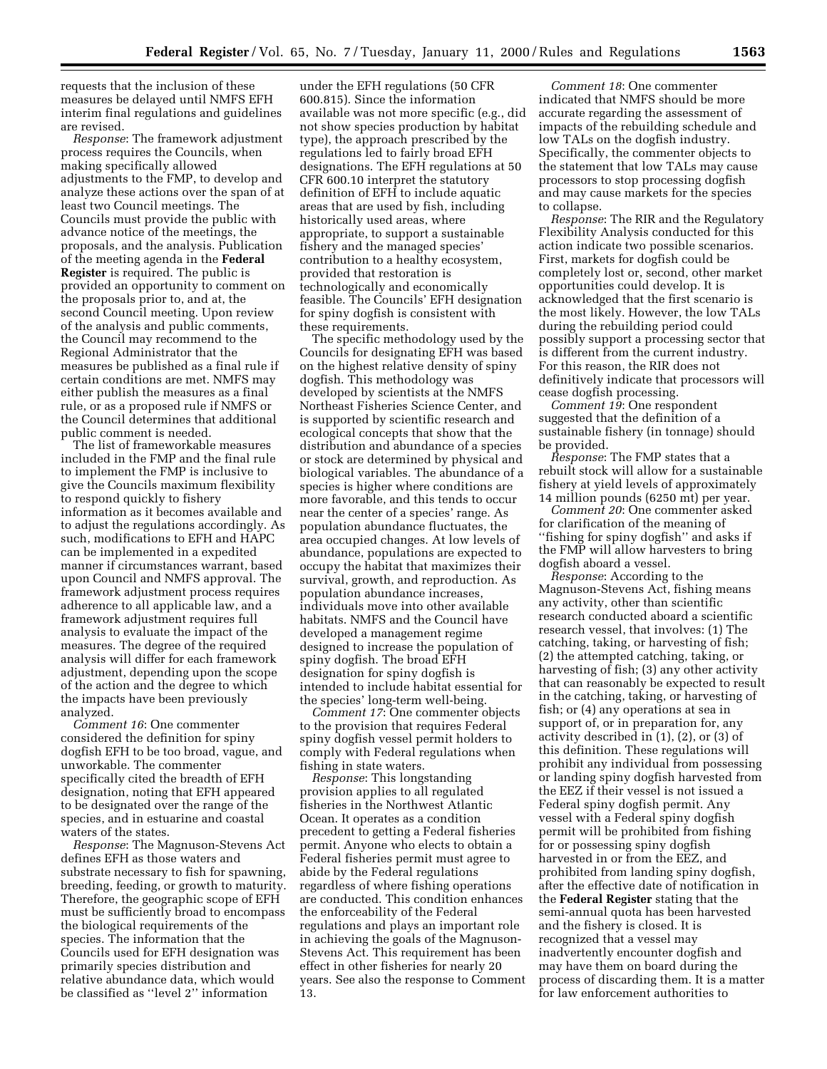requests that the inclusion of these measures be delayed until NMFS EFH interim final regulations and guidelines are revised.

*Response*: The framework adjustment process requires the Councils, when making specifically allowed adjustments to the FMP, to develop and analyze these actions over the span of at least two Council meetings. The Councils must provide the public with advance notice of the meetings, the proposals, and the analysis. Publication of the meeting agenda in the **Federal Register** is required. The public is provided an opportunity to comment on the proposals prior to, and at, the second Council meeting. Upon review of the analysis and public comments, the Council may recommend to the Regional Administrator that the measures be published as a final rule if certain conditions are met. NMFS may either publish the measures as a final rule, or as a proposed rule if NMFS or the Council determines that additional public comment is needed.

The list of frameworkable measures included in the FMP and the final rule to implement the FMP is inclusive to give the Councils maximum flexibility to respond quickly to fishery information as it becomes available and to adjust the regulations accordingly. As such, modifications to EFH and HAPC can be implemented in a expedited manner if circumstances warrant, based upon Council and NMFS approval. The framework adjustment process requires adherence to all applicable law, and a framework adjustment requires full analysis to evaluate the impact of the measures. The degree of the required analysis will differ for each framework adjustment, depending upon the scope of the action and the degree to which the impacts have been previously analyzed.

*Comment 16*: One commenter considered the definition for spiny dogfish EFH to be too broad, vague, and unworkable. The commenter specifically cited the breadth of EFH designation, noting that EFH appeared to be designated over the range of the species, and in estuarine and coastal waters of the states.

*Response*: The Magnuson-Stevens Act defines EFH as those waters and substrate necessary to fish for spawning, breeding, feeding, or growth to maturity. Therefore, the geographic scope of EFH must be sufficiently broad to encompass the biological requirements of the species. The information that the Councils used for EFH designation was primarily species distribution and relative abundance data, which would be classified as ''level 2'' information

under the EFH regulations (50 CFR 600.815). Since the information available was not more specific (e.g., did not show species production by habitat type), the approach prescribed by the regulations led to fairly broad EFH designations. The EFH regulations at 50 CFR 600.10 interpret the statutory definition of EFH to include aquatic areas that are used by fish, including historically used areas, where appropriate, to support a sustainable fishery and the managed species' contribution to a healthy ecosystem, provided that restoration is technologically and economically feasible. The Councils' EFH designation for spiny dogfish is consistent with these requirements.

The specific methodology used by the Councils for designating EFH was based on the highest relative density of spiny dogfish. This methodology was developed by scientists at the NMFS Northeast Fisheries Science Center, and is supported by scientific research and ecological concepts that show that the distribution and abundance of a species or stock are determined by physical and biological variables. The abundance of a species is higher where conditions are more favorable, and this tends to occur near the center of a species' range. As population abundance fluctuates, the area occupied changes. At low levels of abundance, populations are expected to occupy the habitat that maximizes their survival, growth, and reproduction. As population abundance increases, individuals move into other available habitats. NMFS and the Council have developed a management regime designed to increase the population of spiny dogfish. The broad EFH designation for spiny dogfish is intended to include habitat essential for the species' long-term well-being.

*Comment 17*: One commenter objects to the provision that requires Federal spiny dogfish vessel permit holders to comply with Federal regulations when fishing in state waters.

*Response*: This longstanding provision applies to all regulated fisheries in the Northwest Atlantic Ocean. It operates as a condition precedent to getting a Federal fisheries permit. Anyone who elects to obtain a Federal fisheries permit must agree to abide by the Federal regulations regardless of where fishing operations are conducted. This condition enhances the enforceability of the Federal regulations and plays an important role in achieving the goals of the Magnuson-Stevens Act. This requirement has been effect in other fisheries for nearly 20 years. See also the response to Comment 13.

*Comment 18*: One commenter indicated that NMFS should be more accurate regarding the assessment of impacts of the rebuilding schedule and low TALs on the dogfish industry. Specifically, the commenter objects to the statement that low TALs may cause processors to stop processing dogfish and may cause markets for the species to collapse.

*Response*: The RIR and the Regulatory Flexibility Analysis conducted for this action indicate two possible scenarios. First, markets for dogfish could be completely lost or, second, other market opportunities could develop. It is acknowledged that the first scenario is the most likely. However, the low TALs during the rebuilding period could possibly support a processing sector that is different from the current industry. For this reason, the RIR does not definitively indicate that processors will cease dogfish processing.

*Comment 19*: One respondent suggested that the definition of a sustainable fishery (in tonnage) should be provided.

*Response*: The FMP states that a rebuilt stock will allow for a sustainable fishery at yield levels of approximately 14 million pounds (6250 mt) per year.

*Comment 20*: One commenter asked for clarification of the meaning of ''fishing for spiny dogfish'' and asks if the FMP will allow harvesters to bring dogfish aboard a vessel.

*Response*: According to the Magnuson-Stevens Act, fishing means any activity, other than scientific research conducted aboard a scientific research vessel, that involves: (1) The catching, taking, or harvesting of fish; (2) the attempted catching, taking, or harvesting of fish; (3) any other activity that can reasonably be expected to result in the catching, taking, or harvesting of fish; or (4) any operations at sea in support of, or in preparation for, any activity described in (1), (2), or (3) of this definition. These regulations will prohibit any individual from possessing or landing spiny dogfish harvested from the EEZ if their vessel is not issued a Federal spiny dogfish permit. Any vessel with a Federal spiny dogfish permit will be prohibited from fishing for or possessing spiny dogfish harvested in or from the EEZ, and prohibited from landing spiny dogfish, after the effective date of notification in the **Federal Register** stating that the semi-annual quota has been harvested and the fishery is closed. It is recognized that a vessel may inadvertently encounter dogfish and may have them on board during the process of discarding them. It is a matter for law enforcement authorities to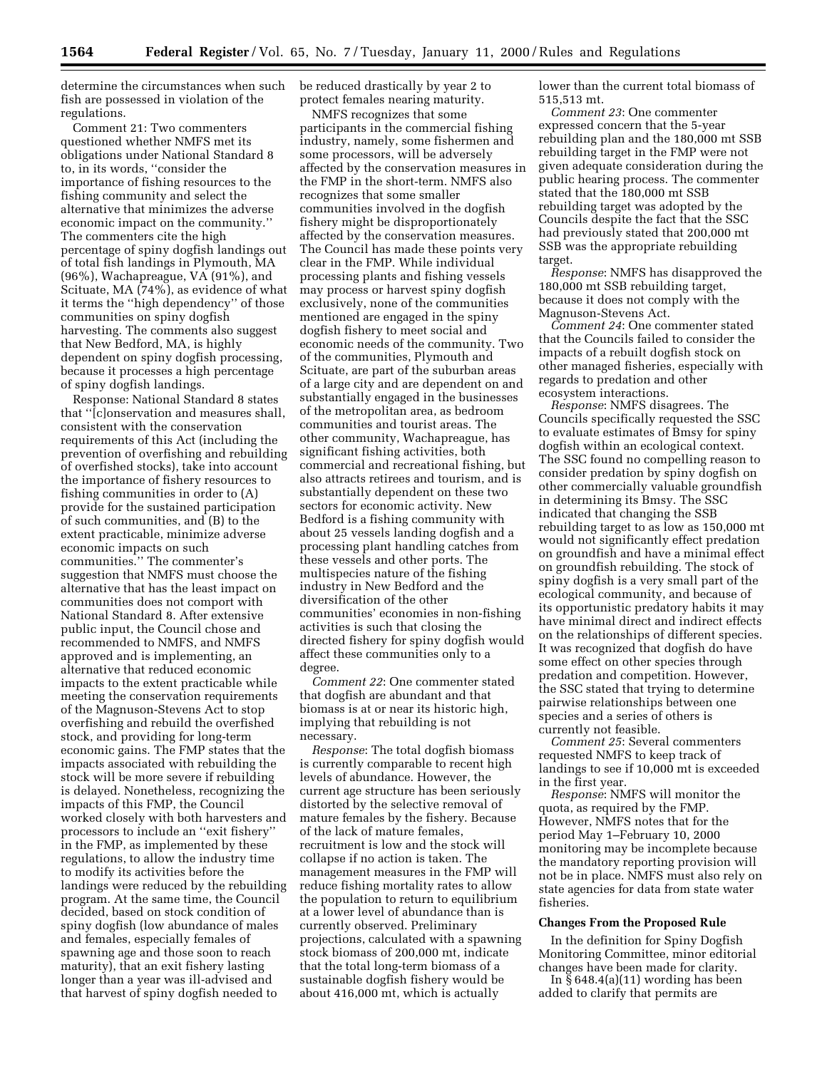determine the circumstances when such fish are possessed in violation of the regulations.

Comment 21: Two commenters questioned whether NMFS met its obligations under National Standard 8 to, in its words, ''consider the importance of fishing resources to the fishing community and select the alternative that minimizes the adverse economic impact on the community.'' The commenters cite the high percentage of spiny dogfish landings out of total fish landings in Plymouth, MA (96%), Wachapreague, VA (91%), and Scituate, MA (74%), as evidence of what it terms the ''high dependency'' of those communities on spiny dogfish harvesting. The comments also suggest that New Bedford, MA, is highly dependent on spiny dogfish processing, because it processes a high percentage of spiny dogfish landings.

Response: National Standard 8 states that ''[c]onservation and measures shall, consistent with the conservation requirements of this Act (including the prevention of overfishing and rebuilding of overfished stocks), take into account the importance of fishery resources to fishing communities in order to (A) provide for the sustained participation of such communities, and (B) to the extent practicable, minimize adverse economic impacts on such communities.'' The commenter's suggestion that NMFS must choose the alternative that has the least impact on communities does not comport with National Standard 8. After extensive public input, the Council chose and recommended to NMFS, and NMFS approved and is implementing, an alternative that reduced economic impacts to the extent practicable while meeting the conservation requirements of the Magnuson-Stevens Act to stop overfishing and rebuild the overfished stock, and providing for long-term economic gains. The FMP states that the impacts associated with rebuilding the stock will be more severe if rebuilding is delayed. Nonetheless, recognizing the impacts of this FMP, the Council worked closely with both harvesters and processors to include an ''exit fishery'' in the FMP, as implemented by these regulations, to allow the industry time to modify its activities before the landings were reduced by the rebuilding program. At the same time, the Council decided, based on stock condition of spiny dogfish (low abundance of males and females, especially females of spawning age and those soon to reach maturity), that an exit fishery lasting longer than a year was ill-advised and that harvest of spiny dogfish needed to

be reduced drastically by year 2 to protect females nearing maturity.

NMFS recognizes that some participants in the commercial fishing industry, namely, some fishermen and some processors, will be adversely affected by the conservation measures in the FMP in the short-term. NMFS also recognizes that some smaller communities involved in the dogfish fishery might be disproportionately affected by the conservation measures. The Council has made these points very clear in the FMP. While individual processing plants and fishing vessels may process or harvest spiny dogfish exclusively, none of the communities mentioned are engaged in the spiny dogfish fishery to meet social and economic needs of the community. Two of the communities, Plymouth and Scituate, are part of the suburban areas of a large city and are dependent on and substantially engaged in the businesses of the metropolitan area, as bedroom communities and tourist areas. The other community, Wachapreague, has significant fishing activities, both commercial and recreational fishing, but also attracts retirees and tourism, and is substantially dependent on these two sectors for economic activity. New Bedford is a fishing community with about 25 vessels landing dogfish and a processing plant handling catches from these vessels and other ports. The multispecies nature of the fishing industry in New Bedford and the diversification of the other communities' economies in non-fishing activities is such that closing the directed fishery for spiny dogfish would affect these communities only to a degree.

*Comment 22*: One commenter stated that dogfish are abundant and that biomass is at or near its historic high, implying that rebuilding is not necessary.

*Response*: The total dogfish biomass is currently comparable to recent high levels of abundance. However, the current age structure has been seriously distorted by the selective removal of mature females by the fishery. Because of the lack of mature females, recruitment is low and the stock will collapse if no action is taken. The management measures in the FMP will reduce fishing mortality rates to allow the population to return to equilibrium at a lower level of abundance than is currently observed. Preliminary projections, calculated with a spawning stock biomass of 200,000 mt, indicate that the total long-term biomass of a sustainable dogfish fishery would be about 416,000 mt, which is actually

lower than the current total biomass of 515,513 mt.

*Comment 23*: One commenter expressed concern that the 5-year rebuilding plan and the 180,000 mt SSB rebuilding target in the FMP were not given adequate consideration during the public hearing process. The commenter stated that the 180,000 mt SSB rebuilding target was adopted by the Councils despite the fact that the SSC had previously stated that 200,000 mt SSB was the appropriate rebuilding target.

*Response*: NMFS has disapproved the 180,000 mt SSB rebuilding target, because it does not comply with the Magnuson-Stevens Act.

*Comment 24*: One commenter stated that the Councils failed to consider the impacts of a rebuilt dogfish stock on other managed fisheries, especially with regards to predation and other ecosystem interactions.

*Response*: NMFS disagrees. The Councils specifically requested the SSC to evaluate estimates of Bmsy for spiny dogfish within an ecological context. The SSC found no compelling reason to consider predation by spiny dogfish on other commercially valuable groundfish in determining its Bmsy. The SSC indicated that changing the SSB rebuilding target to as low as 150,000 mt would not significantly effect predation on groundfish and have a minimal effect on groundfish rebuilding. The stock of spiny dogfish is a very small part of the ecological community, and because of its opportunistic predatory habits it may have minimal direct and indirect effects on the relationships of different species. It was recognized that dogfish do have some effect on other species through predation and competition. However, the SSC stated that trying to determine pairwise relationships between one species and a series of others is currently not feasible.

*Comment 25*: Several commenters requested NMFS to keep track of landings to see if 10,000 mt is exceeded in the first year.

*Response*: NMFS will monitor the quota, as required by the FMP. However, NMFS notes that for the period May 1–February 10, 2000 monitoring may be incomplete because the mandatory reporting provision will not be in place. NMFS must also rely on state agencies for data from state water fisheries.

### **Changes From the Proposed Rule**

In the definition for Spiny Dogfish Monitoring Committee, minor editorial changes have been made for clarity.

In  $\S$  648.4(a)(11) wording has been added to clarify that permits are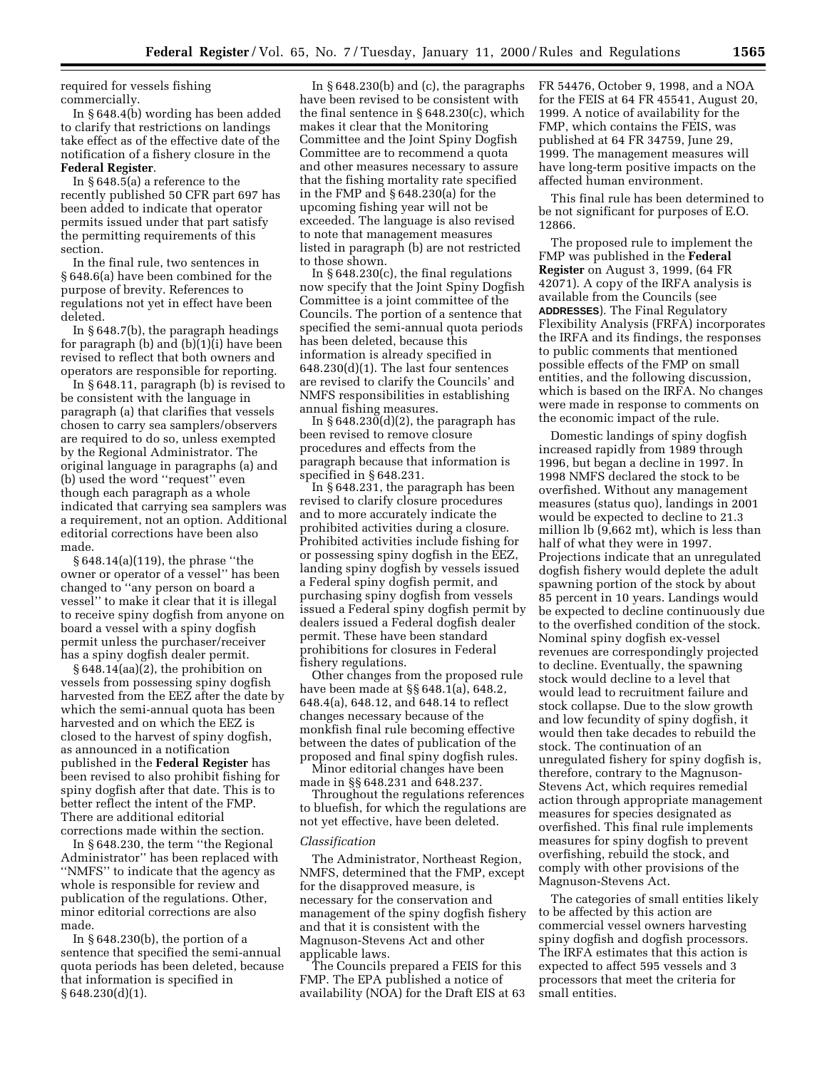required for vessels fishing commercially.

In § 648.4(b) wording has been added to clarify that restrictions on landings take effect as of the effective date of the notification of a fishery closure in the **Federal Register**.

In § 648.5(a) a reference to the recently published 50 CFR part 697 has been added to indicate that operator permits issued under that part satisfy the permitting requirements of this section.

In the final rule, two sentences in § 648.6(a) have been combined for the purpose of brevity. References to regulations not yet in effect have been deleted.

In § 648.7(b), the paragraph headings for paragraph (b) and (b)(1)(i) have been revised to reflect that both owners and operators are responsible for reporting.

In § 648.11, paragraph (b) is revised to be consistent with the language in paragraph (a) that clarifies that vessels chosen to carry sea samplers/observers are required to do so, unless exempted by the Regional Administrator. The original language in paragraphs (a) and (b) used the word ''request'' even though each paragraph as a whole indicated that carrying sea samplers was a requirement, not an option. Additional editorial corrections have been also made.

§ 648.14(a)(119), the phrase ''the owner or operator of a vessel'' has been changed to ''any person on board a vessel'' to make it clear that it is illegal to receive spiny dogfish from anyone on board a vessel with a spiny dogfish permit unless the purchaser/receiver has a spiny dogfish dealer permit.

§ 648.14(aa)(2), the prohibition on vessels from possessing spiny dogfish harvested from the EEZ after the date by which the semi-annual quota has been harvested and on which the EEZ is closed to the harvest of spiny dogfish, as announced in a notification published in the **Federal Register** has been revised to also prohibit fishing for spiny dogfish after that date. This is to better reflect the intent of the FMP. There are additional editorial corrections made within the section.

In § 648.230, the term ''the Regional Administrator'' has been replaced with ''NMFS'' to indicate that the agency as whole is responsible for review and publication of the regulations. Other, minor editorial corrections are also made.

In § 648.230(b), the portion of a sentence that specified the semi-annual quota periods has been deleted, because that information is specified in § 648.230(d)(1).

In § 648.230(b) and (c), the paragraphs have been revised to be consistent with the final sentence in § 648.230(c), which makes it clear that the Monitoring Committee and the Joint Spiny Dogfish Committee are to recommend a quota and other measures necessary to assure that the fishing mortality rate specified in the FMP and § 648.230(a) for the upcoming fishing year will not be exceeded. The language is also revised to note that management measures listed in paragraph (b) are not restricted to those shown.

In § 648.230(c), the final regulations now specify that the Joint Spiny Dogfish Committee is a joint committee of the Councils. The portion of a sentence that specified the semi-annual quota periods has been deleted, because this information is already specified in 648.230(d)(1). The last four sentences are revised to clarify the Councils' and NMFS responsibilities in establishing annual fishing measures.

In  $\S 648.230(d)(2)$ , the paragraph has been revised to remove closure procedures and effects from the paragraph because that information is specified in § 648.231.

In § 648.231, the paragraph has been revised to clarify closure procedures and to more accurately indicate the prohibited activities during a closure. Prohibited activities include fishing for or possessing spiny dogfish in the EEZ, landing spiny dogfish by vessels issued a Federal spiny dogfish permit, and purchasing spiny dogfish from vessels issued a Federal spiny dogfish permit by dealers issued a Federal dogfish dealer permit. These have been standard prohibitions for closures in Federal fishery regulations.

Other changes from the proposed rule have been made at §§ 648.1(a), 648.2, 648.4(a), 648.12, and 648.14 to reflect changes necessary because of the monkfish final rule becoming effective between the dates of publication of the proposed and final spiny dogfish rules.

Minor editorial changes have been made in §§ 648.231 and 648.237.

Throughout the regulations references to bluefish, for which the regulations are not yet effective, have been deleted.

#### *Classification*

The Administrator, Northeast Region, NMFS, determined that the FMP, except for the disapproved measure, is necessary for the conservation and management of the spiny dogfish fishery and that it is consistent with the Magnuson-Stevens Act and other applicable laws.

The Councils prepared a FEIS for this FMP. The EPA published a notice of availability (NOA) for the Draft EIS at 63 FR 54476, October 9, 1998, and a NOA for the FEIS at 64 FR 45541, August 20, 1999. A notice of availability for the FMP, which contains the FEIS, was published at 64 FR 34759, June 29, 1999. The management measures will have long-term positive impacts on the affected human environment.

This final rule has been determined to be not significant for purposes of E.O. 12866.

The proposed rule to implement the FMP was published in the **Federal Register** on August 3, 1999, (64 FR 42071). A copy of the IRFA analysis is available from the Councils (see **ADDRESSES**). The Final Regulatory Flexibility Analysis (FRFA) incorporates the IRFA and its findings, the responses to public comments that mentioned possible effects of the FMP on small entities, and the following discussion, which is based on the IRFA. No changes were made in response to comments on the economic impact of the rule.

Domestic landings of spiny dogfish increased rapidly from 1989 through 1996, but began a decline in 1997. In 1998 NMFS declared the stock to be overfished. Without any management measures (status quo), landings in 2001 would be expected to decline to 21.3 million lb (9,662 mt), which is less than half of what they were in 1997. Projections indicate that an unregulated dogfish fishery would deplete the adult spawning portion of the stock by about 85 percent in 10 years. Landings would be expected to decline continuously due to the overfished condition of the stock. Nominal spiny dogfish ex-vessel revenues are correspondingly projected to decline. Eventually, the spawning stock would decline to a level that would lead to recruitment failure and stock collapse. Due to the slow growth and low fecundity of spiny dogfish, it would then take decades to rebuild the stock. The continuation of an unregulated fishery for spiny dogfish is, therefore, contrary to the Magnuson-Stevens Act, which requires remedial action through appropriate management measures for species designated as overfished. This final rule implements measures for spiny dogfish to prevent overfishing, rebuild the stock, and comply with other provisions of the Magnuson-Stevens Act.

The categories of small entities likely to be affected by this action are commercial vessel owners harvesting spiny dogfish and dogfish processors. The IRFA estimates that this action is expected to affect 595 vessels and 3 processors that meet the criteria for small entities.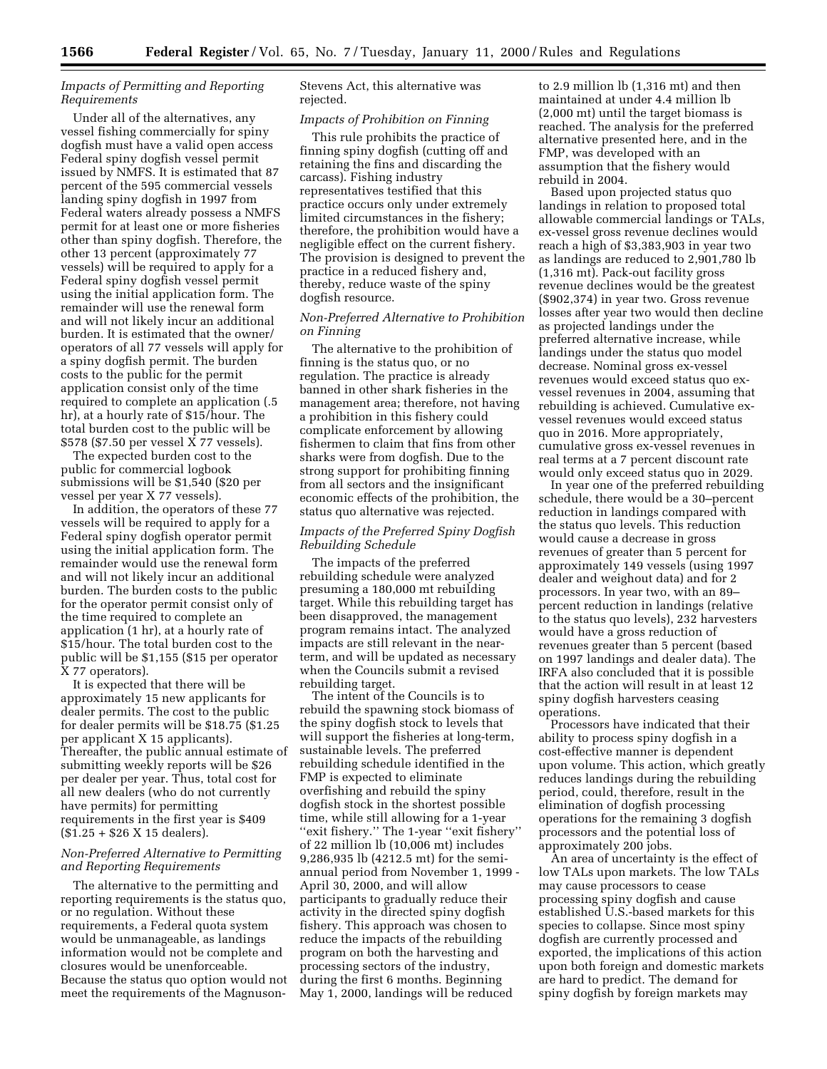# *Impacts of Permitting and Reporting Requirements*

Under all of the alternatives, any vessel fishing commercially for spiny dogfish must have a valid open access Federal spiny dogfish vessel permit issued by NMFS. It is estimated that 87 percent of the 595 commercial vessels landing spiny dogfish in 1997 from Federal waters already possess a NMFS permit for at least one or more fisheries other than spiny dogfish. Therefore, the other 13 percent (approximately 77 vessels) will be required to apply for a Federal spiny dogfish vessel permit using the initial application form. The remainder will use the renewal form and will not likely incur an additional burden. It is estimated that the owner/ operators of all 77 vessels will apply for a spiny dogfish permit. The burden costs to the public for the permit application consist only of the time required to complete an application (.5 hr), at a hourly rate of \$15/hour. The total burden cost to the public will be \$578 (\$7.50 per vessel X 77 vessels).

The expected burden cost to the public for commercial logbook submissions will be \$1,540 (\$20 per vessel per year X 77 vessels).

In addition, the operators of these 77 vessels will be required to apply for a Federal spiny dogfish operator permit using the initial application form. The remainder would use the renewal form and will not likely incur an additional burden. The burden costs to the public for the operator permit consist only of the time required to complete an application (1 hr), at a hourly rate of \$15/hour. The total burden cost to the public will be \$1,155 (\$15 per operator X 77 operators).

It is expected that there will be approximately 15 new applicants for dealer permits. The cost to the public for dealer permits will be \$18.75 (\$1.25 per applicant X 15 applicants). Thereafter, the public annual estimate of submitting weekly reports will be \$26 per dealer per year. Thus, total cost for all new dealers (who do not currently have permits) for permitting requirements in the first year is \$409  $($1.25 + $26 X 15$  dealers).

# *Non-Preferred Alternative to Permitting and Reporting Requirements*

The alternative to the permitting and reporting requirements is the status quo, or no regulation. Without these requirements, a Federal quota system would be unmanageable, as landings information would not be complete and closures would be unenforceable. Because the status quo option would not meet the requirements of the MagnusonStevens Act, this alternative was rejected.

# *Impacts of Prohibition on Finning*

This rule prohibits the practice of finning spiny dogfish (cutting off and retaining the fins and discarding the carcass). Fishing industry representatives testified that this practice occurs only under extremely limited circumstances in the fishery; therefore, the prohibition would have a negligible effect on the current fishery. The provision is designed to prevent the practice in a reduced fishery and, thereby, reduce waste of the spiny dogfish resource.

# *Non-Preferred Alternative to Prohibition on Finning*

The alternative to the prohibition of finning is the status quo, or no regulation. The practice is already banned in other shark fisheries in the management area; therefore, not having a prohibition in this fishery could complicate enforcement by allowing fishermen to claim that fins from other sharks were from dogfish. Due to the strong support for prohibiting finning from all sectors and the insignificant economic effects of the prohibition, the status quo alternative was rejected.

# *Impacts of the Preferred Spiny Dogfish Rebuilding Schedule*

The impacts of the preferred rebuilding schedule were analyzed presuming a 180,000 mt rebuilding target. While this rebuilding target has been disapproved, the management program remains intact. The analyzed impacts are still relevant in the nearterm, and will be updated as necessary when the Councils submit a revised rebuilding target.

The intent of the Councils is to rebuild the spawning stock biomass of the spiny dogfish stock to levels that will support the fisheries at long-term, sustainable levels. The preferred rebuilding schedule identified in the FMP is expected to eliminate overfishing and rebuild the spiny dogfish stock in the shortest possible time, while still allowing for a 1-year ''exit fishery.'' The 1-year ''exit fishery'' of 22 million lb (10,006 mt) includes 9,286,935 lb (4212.5 mt) for the semiannual period from November 1, 1999 - April 30, 2000, and will allow participants to gradually reduce their activity in the directed spiny dogfish fishery. This approach was chosen to reduce the impacts of the rebuilding program on both the harvesting and processing sectors of the industry, during the first 6 months. Beginning May 1, 2000, landings will be reduced

to 2.9 million lb (1,316 mt) and then maintained at under 4.4 million lb (2,000 mt) until the target biomass is reached. The analysis for the preferred alternative presented here, and in the FMP, was developed with an assumption that the fishery would rebuild in 2004.

Based upon projected status quo landings in relation to proposed total allowable commercial landings or TALs, ex-vessel gross revenue declines would reach a high of \$3,383,903 in year two as landings are reduced to 2,901,780 lb (1,316 mt). Pack-out facility gross revenue declines would be the greatest (\$902,374) in year two. Gross revenue losses after year two would then decline as projected landings under the preferred alternative increase, while landings under the status quo model decrease. Nominal gross ex-vessel revenues would exceed status quo exvessel revenues in 2004, assuming that rebuilding is achieved. Cumulative exvessel revenues would exceed status quo in 2016. More appropriately, cumulative gross ex-vessel revenues in real terms at a 7 percent discount rate would only exceed status quo in 2029.

In year one of the preferred rebuilding schedule, there would be a 30–percent reduction in landings compared with the status quo levels. This reduction would cause a decrease in gross revenues of greater than 5 percent for approximately 149 vessels (using 1997 dealer and weighout data) and for 2 processors. In year two, with an 89– percent reduction in landings (relative to the status quo levels), 232 harvesters would have a gross reduction of revenues greater than 5 percent (based on 1997 landings and dealer data). The IRFA also concluded that it is possible that the action will result in at least 12 spiny dogfish harvesters ceasing operations.

Processors have indicated that their ability to process spiny dogfish in a cost-effective manner is dependent upon volume. This action, which greatly reduces landings during the rebuilding period, could, therefore, result in the elimination of dogfish processing operations for the remaining 3 dogfish processors and the potential loss of approximately 200 jobs.

An area of uncertainty is the effect of low TALs upon markets. The low TALs may cause processors to cease processing spiny dogfish and cause established  $\overline{U}.S.$ -based markets for this species to collapse. Since most spiny dogfish are currently processed and exported, the implications of this action upon both foreign and domestic markets are hard to predict. The demand for spiny dogfish by foreign markets may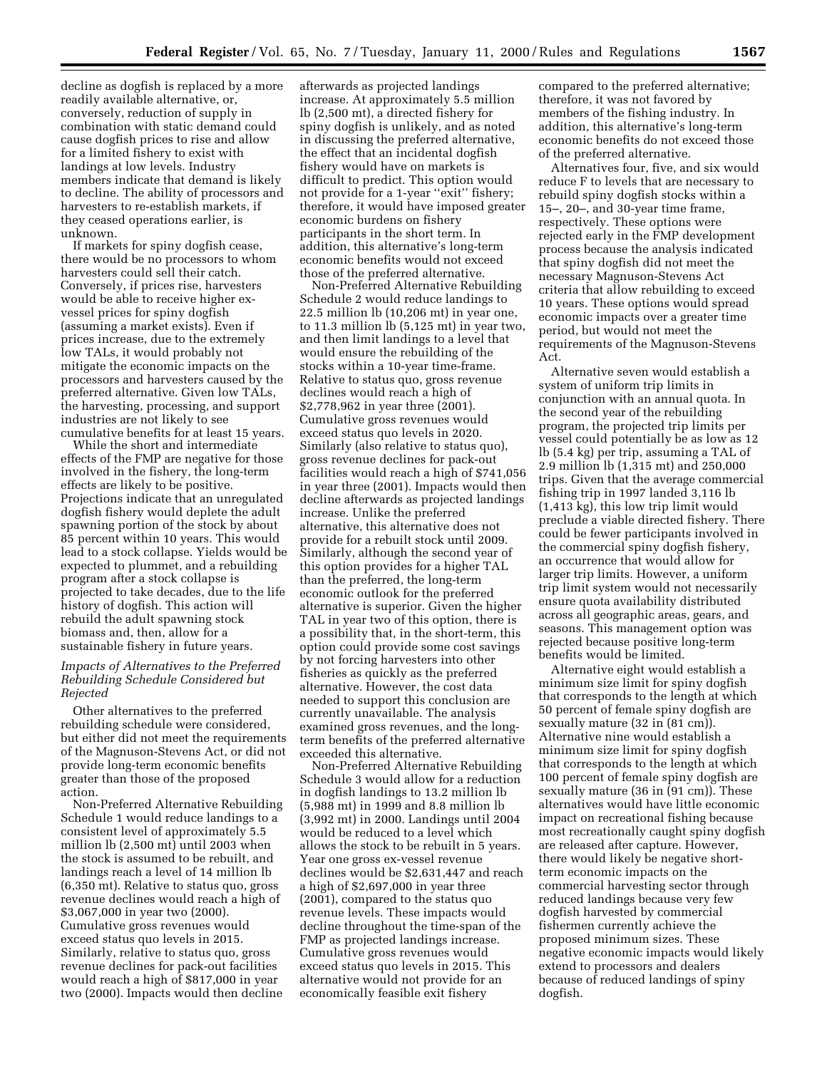decline as dogfish is replaced by a more readily available alternative, or, conversely, reduction of supply in combination with static demand could cause dogfish prices to rise and allow for a limited fishery to exist with landings at low levels. Industry members indicate that demand is likely to decline. The ability of processors and harvesters to re-establish markets, if they ceased operations earlier, is unknown.

If markets for spiny dogfish cease, there would be no processors to whom harvesters could sell their catch. Conversely, if prices rise, harvesters would be able to receive higher exvessel prices for spiny dogfish (assuming a market exists). Even if prices increase, due to the extremely low TALs, it would probably not mitigate the economic impacts on the processors and harvesters caused by the preferred alternative. Given low TALs, the harvesting, processing, and support industries are not likely to see cumulative benefits for at least 15 years.

While the short and intermediate effects of the FMP are negative for those involved in the fishery, the long-term effects are likely to be positive. Projections indicate that an unregulated dogfish fishery would deplete the adult spawning portion of the stock by about 85 percent within 10 years. This would lead to a stock collapse. Yields would be expected to plummet, and a rebuilding program after a stock collapse is projected to take decades, due to the life history of dogfish. This action will rebuild the adult spawning stock biomass and, then, allow for a sustainable fishery in future years.

# *Impacts of Alternatives to the Preferred Rebuilding Schedule Considered but Rejected*

Other alternatives to the preferred rebuilding schedule were considered, but either did not meet the requirements of the Magnuson-Stevens Act, or did not provide long-term economic benefits greater than those of the proposed action.

Non-Preferred Alternative Rebuilding Schedule 1 would reduce landings to a consistent level of approximately 5.5 million lb (2,500 mt) until 2003 when the stock is assumed to be rebuilt, and landings reach a level of 14 million lb (6,350 mt). Relative to status quo, gross revenue declines would reach a high of \$3,067,000 in year two (2000). Cumulative gross revenues would exceed status quo levels in 2015. Similarly, relative to status quo, gross revenue declines for pack-out facilities would reach a high of \$817,000 in year two (2000). Impacts would then decline afterwards as projected landings increase. At approximately 5.5 million lb (2,500 mt), a directed fishery for spiny dogfish is unlikely, and as noted in discussing the preferred alternative, the effect that an incidental dogfish fishery would have on markets is difficult to predict. This option would not provide for a 1-year ''exit'' fishery; therefore, it would have imposed greater economic burdens on fishery participants in the short term. In addition, this alternative's long-term economic benefits would not exceed those of the preferred alternative.

Non-Preferred Alternative Rebuilding Schedule 2 would reduce landings to 22.5 million lb (10,206 mt) in year one, to 11.3 million lb (5,125 mt) in year two, and then limit landings to a level that would ensure the rebuilding of the stocks within a 10-year time-frame. Relative to status quo, gross revenue declines would reach a high of \$2,778,962 in year three (2001). Cumulative gross revenues would exceed status quo levels in 2020. Similarly (also relative to status quo), gross revenue declines for pack-out facilities would reach a high of \$741,056 in year three (2001). Impacts would then decline afterwards as projected landings increase. Unlike the preferred alternative, this alternative does not provide for a rebuilt stock until 2009. Similarly, although the second year of this option provides for a higher TAL than the preferred, the long-term economic outlook for the preferred alternative is superior. Given the higher TAL in year two of this option, there is a possibility that, in the short-term, this option could provide some cost savings by not forcing harvesters into other fisheries as quickly as the preferred alternative. However, the cost data needed to support this conclusion are currently unavailable. The analysis examined gross revenues, and the longterm benefits of the preferred alternative exceeded this alternative.

Non-Preferred Alternative Rebuilding Schedule 3 would allow for a reduction in dogfish landings to 13.2 million lb (5,988 mt) in 1999 and 8.8 million lb (3,992 mt) in 2000. Landings until 2004 would be reduced to a level which allows the stock to be rebuilt in 5 years. Year one gross ex-vessel revenue declines would be \$2,631,447 and reach a high of \$2,697,000 in year three (2001), compared to the status quo revenue levels. These impacts would decline throughout the time-span of the FMP as projected landings increase. Cumulative gross revenues would exceed status quo levels in 2015. This alternative would not provide for an economically feasible exit fishery

compared to the preferred alternative; therefore, it was not favored by members of the fishing industry. In addition, this alternative's long-term economic benefits do not exceed those of the preferred alternative.

Alternatives four, five, and six would reduce F to levels that are necessary to rebuild spiny dogfish stocks within a 15–, 20–, and 30-year time frame, respectively. These options were rejected early in the FMP development process because the analysis indicated that spiny dogfish did not meet the necessary Magnuson-Stevens Act criteria that allow rebuilding to exceed 10 years. These options would spread economic impacts over a greater time period, but would not meet the requirements of the Magnuson-Stevens Act.

Alternative seven would establish a system of uniform trip limits in conjunction with an annual quota. In the second year of the rebuilding program, the projected trip limits per vessel could potentially be as low as 12 lb (5.4 kg) per trip, assuming a TAL of 2.9 million lb (1,315 mt) and 250,000 trips. Given that the average commercial fishing trip in 1997 landed 3,116 lb (1,413 kg), this low trip limit would preclude a viable directed fishery. There could be fewer participants involved in the commercial spiny dogfish fishery, an occurrence that would allow for larger trip limits. However, a uniform trip limit system would not necessarily ensure quota availability distributed across all geographic areas, gears, and seasons. This management option was rejected because positive long-term benefits would be limited.

Alternative eight would establish a minimum size limit for spiny dogfish that corresponds to the length at which 50 percent of female spiny dogfish are sexually mature (32 in (81 cm)). Alternative nine would establish a minimum size limit for spiny dogfish that corresponds to the length at which 100 percent of female spiny dogfish are sexually mature (36 in (91 cm)). These alternatives would have little economic impact on recreational fishing because most recreationally caught spiny dogfish are released after capture. However, there would likely be negative shortterm economic impacts on the commercial harvesting sector through reduced landings because very few dogfish harvested by commercial fishermen currently achieve the proposed minimum sizes. These negative economic impacts would likely extend to processors and dealers because of reduced landings of spiny dogfish.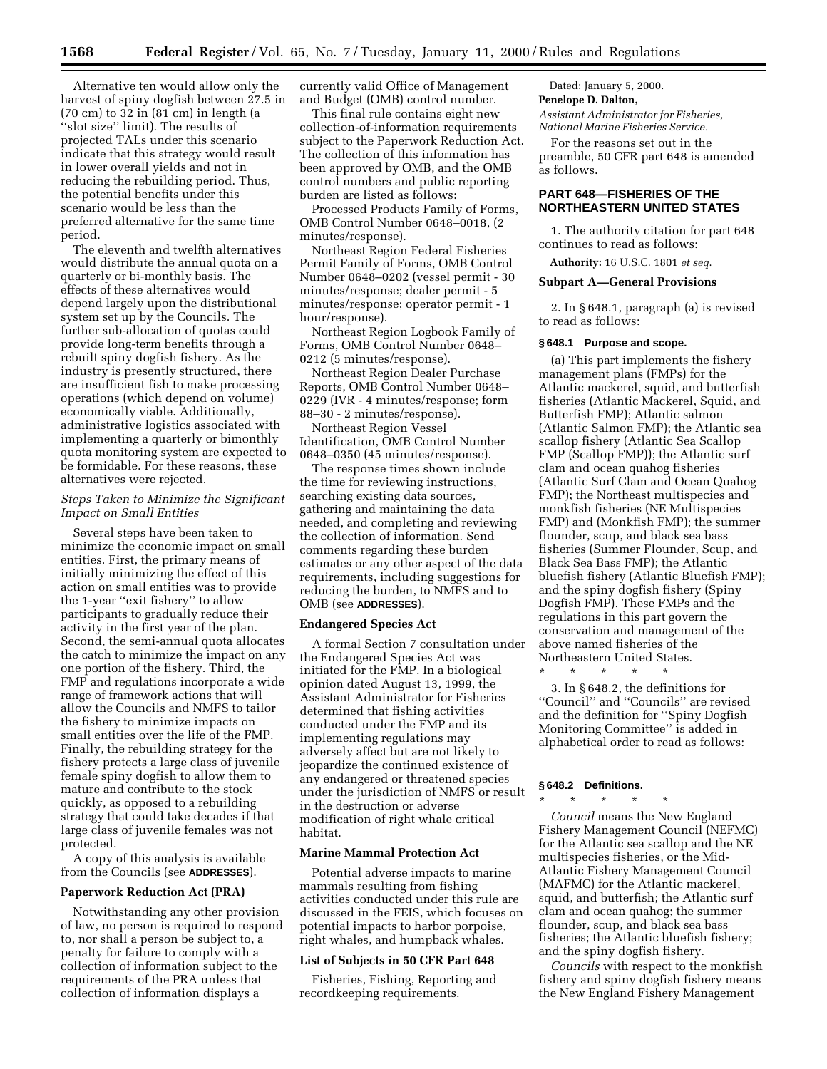Alternative ten would allow only the harvest of spiny dogfish between 27.5 in (70 cm) to 32 in (81 cm) in length (a ''slot size'' limit). The results of projected TALs under this scenario indicate that this strategy would result in lower overall yields and not in reducing the rebuilding period. Thus, the potential benefits under this scenario would be less than the preferred alternative for the same time period.

The eleventh and twelfth alternatives would distribute the annual quota on a quarterly or bi-monthly basis. The effects of these alternatives would depend largely upon the distributional system set up by the Councils. The further sub-allocation of quotas could provide long-term benefits through a rebuilt spiny dogfish fishery. As the industry is presently structured, there are insufficient fish to make processing operations (which depend on volume) economically viable. Additionally, administrative logistics associated with implementing a quarterly or bimonthly quota monitoring system are expected to be formidable. For these reasons, these alternatives were rejected.

# *Steps Taken to Minimize the Significant Impact on Small Entities*

Several steps have been taken to minimize the economic impact on small entities. First, the primary means of initially minimizing the effect of this action on small entities was to provide the 1-year ''exit fishery'' to allow participants to gradually reduce their activity in the first year of the plan. Second, the semi-annual quota allocates the catch to minimize the impact on any one portion of the fishery. Third, the FMP and regulations incorporate a wide range of framework actions that will allow the Councils and NMFS to tailor the fishery to minimize impacts on small entities over the life of the FMP. Finally, the rebuilding strategy for the fishery protects a large class of juvenile female spiny dogfish to allow them to mature and contribute to the stock quickly, as opposed to a rebuilding strategy that could take decades if that large class of juvenile females was not protected.

A copy of this analysis is available from the Councils (see **ADDRESSES**).

### **Paperwork Reduction Act (PRA)**

Notwithstanding any other provision of law, no person is required to respond to, nor shall a person be subject to, a penalty for failure to comply with a collection of information subject to the requirements of the PRA unless that collection of information displays a

currently valid Office of Management and Budget (OMB) control number.

This final rule contains eight new collection-of-information requirements subject to the Paperwork Reduction Act. The collection of this information has been approved by OMB, and the OMB control numbers and public reporting burden are listed as follows:

Processed Products Family of Forms, OMB Control Number 0648–0018, (2 minutes/response).

Northeast Region Federal Fisheries Permit Family of Forms, OMB Control Number 0648–0202 (vessel permit - 30 minutes/response; dealer permit - 5 minutes/response; operator permit - 1 hour/response).

Northeast Region Logbook Family of Forms, OMB Control Number 0648– 0212 (5 minutes/response).

Northeast Region Dealer Purchase Reports, OMB Control Number 0648– 0229 (IVR - 4 minutes/response; form 88–30 - 2 minutes/response).

Northeast Region Vessel Identification, OMB Control Number 0648–0350 (45 minutes/response).

The response times shown include the time for reviewing instructions, searching existing data sources, gathering and maintaining the data needed, and completing and reviewing the collection of information. Send comments regarding these burden estimates or any other aspect of the data requirements, including suggestions for reducing the burden, to NMFS and to OMB (see **ADDRESSES**).

### **Endangered Species Act**

A formal Section 7 consultation under the Endangered Species Act was initiated for the FMP. In a biological opinion dated August 13, 1999, the Assistant Administrator for Fisheries determined that fishing activities conducted under the FMP and its implementing regulations may adversely affect but are not likely to jeopardize the continued existence of any endangered or threatened species under the jurisdiction of NMFS or result in the destruction or adverse modification of right whale critical habitat.

### **Marine Mammal Protection Act**

Potential adverse impacts to marine mammals resulting from fishing activities conducted under this rule are discussed in the FEIS, which focuses on potential impacts to harbor porpoise, right whales, and humpback whales.

# **List of Subjects in 50 CFR Part 648**

Fisheries, Fishing, Reporting and recordkeeping requirements.

Dated: January 5, 2000.

**Penelope D. Dalton,**

*Assistant Administrator for Fisheries, National Marine Fisheries Service.*

For the reasons set out in the preamble, 50 CFR part 648 is amended as follows.

# **PART 648—FISHERIES OF THE NORTHEASTERN UNITED STATES**

1. The authority citation for part 648 continues to read as follows:

**Authority:** 16 U.S.C. 1801 *et seq*.

# **Subpart A—General Provisions**

2. In § 648.1, paragraph (a) is revised to read as follows:

#### **§ 648.1 Purpose and scope.**

(a) This part implements the fishery management plans (FMPs) for the Atlantic mackerel, squid, and butterfish fisheries (Atlantic Mackerel, Squid, and Butterfish FMP); Atlantic salmon (Atlantic Salmon FMP); the Atlantic sea scallop fishery (Atlantic Sea Scallop FMP (Scallop FMP)); the Atlantic surf clam and ocean quahog fisheries (Atlantic Surf Clam and Ocean Quahog FMP); the Northeast multispecies and monkfish fisheries (NE Multispecies FMP) and (Monkfish FMP); the summer flounder, scup, and black sea bass fisheries (Summer Flounder, Scup, and Black Sea Bass FMP); the Atlantic bluefish fishery (Atlantic Bluefish FMP); and the spiny dogfish fishery (Spiny Dogfish FMP). These FMPs and the regulations in this part govern the conservation and management of the above named fisheries of the Northeastern United States.

\* \* \* \* \*

3. In § 648.2, the definitions for ''Council'' and ''Councils'' are revised and the definition for ''Spiny Dogfish Monitoring Committee'' is added in alphabetical order to read as follows:

### **§ 648.2 Definitions.**

\* \* \* \* \* *Council* means the New England Fishery Management Council (NEFMC) for the Atlantic sea scallop and the NE multispecies fisheries, or the Mid-Atlantic Fishery Management Council (MAFMC) for the Atlantic mackerel, squid, and butterfish; the Atlantic surf clam and ocean quahog; the summer flounder, scup, and black sea bass fisheries; the Atlantic bluefish fishery; and the spiny dogfish fishery.

*Councils* with respect to the monkfish fishery and spiny dogfish fishery means the New England Fishery Management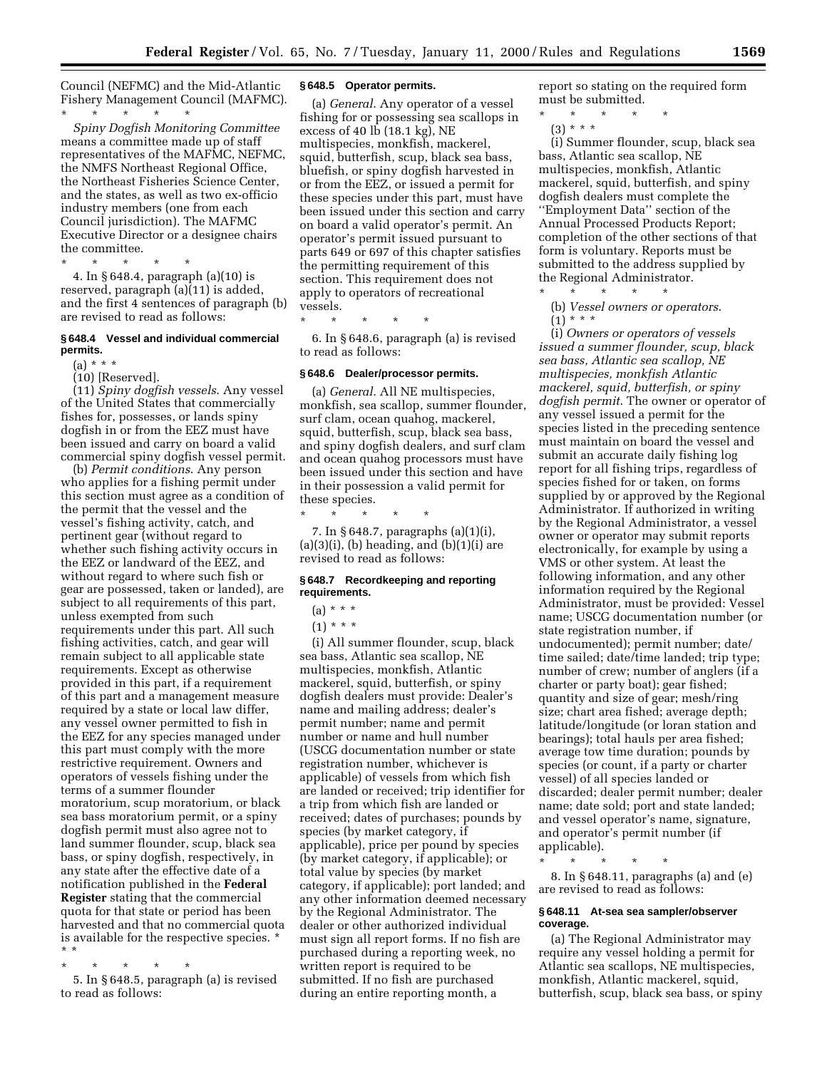Council (NEFMC) and the Mid-Atlantic Fishery Management Council (MAFMC).

\* \* \* \* \* *Spiny Dogfish Monitoring Committee* means a committee made up of staff representatives of the MAFMC, NEFMC, the NMFS Northeast Regional Office, the Northeast Fisheries Science Center, and the states, as well as two ex-officio industry members (one from each Council jurisdiction). The MAFMC Executive Director or a designee chairs the committee.

\* \* \* \* \* 4. In § 648.4, paragraph (a)(10) is reserved, paragraph (a)(11) is added, and the first 4 sentences of paragraph (b) are revised to read as follows:

## **§ 648.4 Vessel and individual commercial permits.**

 $(a) * * *$ 

(10) [Reserved].

(11) *Spiny dogfish vessels*. Any vessel of the United States that commercially fishes for, possesses, or lands spiny dogfish in or from the EEZ must have been issued and carry on board a valid commercial spiny dogfish vessel permit.

(b) *Permit conditions*. Any person who applies for a fishing permit under this section must agree as a condition of the permit that the vessel and the vessel's fishing activity, catch, and pertinent gear (without regard to whether such fishing activity occurs in the EEZ or landward of the EEZ, and without regard to where such fish or gear are possessed, taken or landed), are subject to all requirements of this part, unless exempted from such requirements under this part. All such fishing activities, catch, and gear will remain subject to all applicable state requirements. Except as otherwise provided in this part, if a requirement of this part and a management measure required by a state or local law differ, any vessel owner permitted to fish in the EEZ for any species managed under this part must comply with the more restrictive requirement. Owners and operators of vessels fishing under the terms of a summer flounder moratorium, scup moratorium, or black sea bass moratorium permit, or a spiny dogfish permit must also agree not to land summer flounder, scup, black sea bass, or spiny dogfish, respectively, in any state after the effective date of a notification published in the **Federal Register** stating that the commercial quota for that state or period has been harvested and that no commercial quota is available for the respective species. \* \* \*

\* \* \* \* \* 5. In § 648.5, paragraph (a) is revised to read as follows:

#### **§ 648.5 Operator permits.**

(a) *General*. Any operator of a vessel fishing for or possessing sea scallops in excess of 40 lb (18.1 kg), NE multispecies, monkfish, mackerel, squid, butterfish, scup, black sea bass, bluefish, or spiny dogfish harvested in or from the EEZ, or issued a permit for these species under this part, must have been issued under this section and carry on board a valid operator's permit. An operator's permit issued pursuant to parts 649 or 697 of this chapter satisfies the permitting requirement of this section. This requirement does not apply to operators of recreational vessels.

\* \* \* \* \*

6. In § 648.6, paragraph (a) is revised to read as follows:

#### **§ 648.6 Dealer/processor permits.**

(a) *General*. All NE multispecies, monkfish, sea scallop, summer flounder, surf clam, ocean quahog, mackerel, squid, butterfish, scup, black sea bass, and spiny dogfish dealers, and surf clam and ocean quahog processors must have been issued under this section and have in their possession a valid permit for these species.

\* \* \* \* \* 7. In § 648.7, paragraphs (a)(1)(i),  $(a)(3)(i)$ ,  $(b)$  heading, and  $(b)(1)(i)$  are revised to read as follows:

### **§ 648.7 Recordkeeping and reporting requirements.**

 $(a) * * *$ 

 $(1) * * * *$ 

(i) All summer flounder, scup, black sea bass, Atlantic sea scallop, NE multispecies, monkfish, Atlantic mackerel, squid, butterfish, or spiny dogfish dealers must provide: Dealer's name and mailing address; dealer's permit number; name and permit number or name and hull number (USCG documentation number or state registration number, whichever is applicable) of vessels from which fish are landed or received; trip identifier for a trip from which fish are landed or received; dates of purchases; pounds by species (by market category, if applicable), price per pound by species (by market category, if applicable); or total value by species (by market category, if applicable); port landed; and any other information deemed necessary by the Regional Administrator. The dealer or other authorized individual must sign all report forms. If no fish are purchased during a reporting week, no written report is required to be submitted. If no fish are purchased during an entire reporting month, a

report so stating on the required form must be submitted.

\* \* \* \* \*

(3) \* \* \* (i) Summer flounder, scup, black sea bass, Atlantic sea scallop, NE multispecies, monkfish, Atlantic mackerel, squid, butterfish, and spiny dogfish dealers must complete the ''Employment Data'' section of the Annual Processed Products Report; completion of the other sections of that form is voluntary. Reports must be submitted to the address supplied by the Regional Administrator.  $\star$   $\star$   $\star$   $\star$ 

(b) *Vessel owners or operators*.  $(1) * * * *$ 

(i) *Owners or operators of vessels issued a summer flounder, scup, black sea bass, Atlantic sea scallop, NE multispecies, monkfish Atlantic mackerel, squid, butterfish, or spiny dogfish permit*. The owner or operator of any vessel issued a permit for the species listed in the preceding sentence must maintain on board the vessel and submit an accurate daily fishing log report for all fishing trips, regardless of species fished for or taken, on forms supplied by or approved by the Regional Administrator. If authorized in writing by the Regional Administrator, a vessel owner or operator may submit reports electronically, for example by using a VMS or other system. At least the following information, and any other information required by the Regional Administrator, must be provided: Vessel name; USCG documentation number (or state registration number, if undocumented); permit number; date/ time sailed; date/time landed; trip type; number of crew; number of anglers (if a charter or party boat); gear fished; quantity and size of gear; mesh/ring size; chart area fished; average depth; latitude/longitude (or loran station and bearings); total hauls per area fished; average tow time duration; pounds by species (or count, if a party or charter vessel) of all species landed or discarded; dealer permit number; dealer name; date sold; port and state landed; and vessel operator's name, signature, and operator's permit number (if applicable).

\* \* \* \* \*

8. In § 648.11, paragraphs (a) and (e) are revised to read as follows:

### **§ 648.11 At-sea sea sampler/observer coverage.**

(a) The Regional Administrator may require any vessel holding a permit for Atlantic sea scallops, NE multispecies, monkfish, Atlantic mackerel, squid, butterfish, scup, black sea bass, or spiny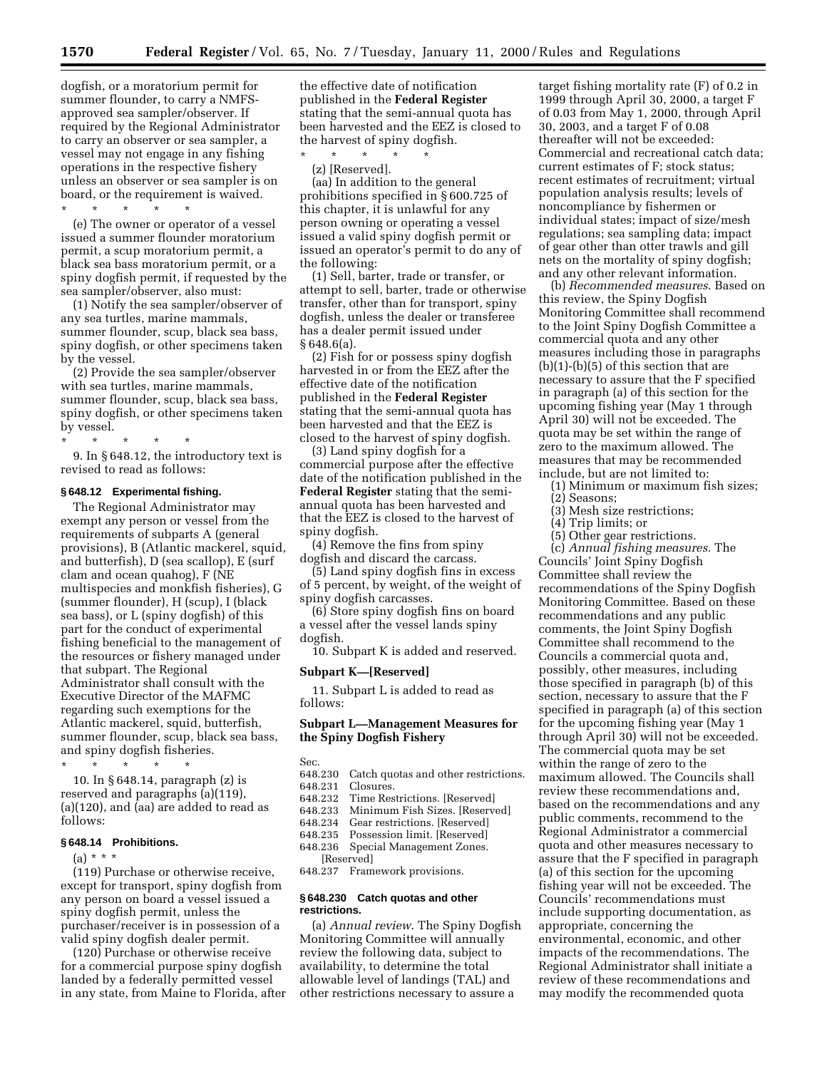**1570 Federal Register** / Vol. 65, No. 7 / Tuesday, January 11, 2000 / Rules and Regulations

dogfish, or a moratorium permit for summer flounder, to carry a NMFSapproved sea sampler/observer. If required by the Regional Administrator to carry an observer or sea sampler, a vessel may not engage in any fishing operations in the respective fishery unless an observer or sea sampler is on board, or the requirement is waived.

\* \* \* \* \*

(e) The owner or operator of a vessel issued a summer flounder moratorium permit, a scup moratorium permit, a black sea bass moratorium permit, or a spiny dogfish permit, if requested by the sea sampler/observer, also must:

(1) Notify the sea sampler/observer of any sea turtles, marine mammals, summer flounder, scup, black sea bass, spiny dogfish, or other specimens taken by the vessel.

(2) Provide the sea sampler/observer with sea turtles, marine mammals, summer flounder, scup, black sea bass, spiny dogfish, or other specimens taken by vessel.

\* \* \* \* \* 9. In § 648.12, the introductory text is revised to read as follows:

### **§ 648.12 Experimental fishing.**

The Regional Administrator may exempt any person or vessel from the requirements of subparts A (general provisions), B (Atlantic mackerel, squid, and butterfish), D (sea scallop), E (surf clam and ocean quahog), F (NE multispecies and monkfish fisheries), G (summer flounder), H (scup), I (black sea bass), or L (spiny dogfish) of this part for the conduct of experimental fishing beneficial to the management of the resources or fishery managed under that subpart. The Regional Administrator shall consult with the Executive Director of the MAFMC regarding such exemptions for the Atlantic mackerel, squid, butterfish, summer flounder, scup, black sea bass, and spiny dogfish fisheries.

\* \* \* \* \* 10. In § 648.14, paragraph (z) is reserved and paragraphs (a)(119), (a)(120), and (aa) are added to read as follows:

#### **§ 648.14 Prohibitions.**

 $(a) * * *$ 

(119) Purchase or otherwise receive, except for transport, spiny dogfish from any person on board a vessel issued a spiny dogfish permit, unless the purchaser/receiver is in possession of a valid spiny dogfish dealer permit.

(120) Purchase or otherwise receive for a commercial purpose spiny dogfish landed by a federally permitted vessel in any state, from Maine to Florida, after the effective date of notification published in the **Federal Register** stating that the semi-annual quota has been harvested and the EEZ is closed to the harvest of spiny dogfish.

\* \* \* \* \* (z) [Reserved].

(aa) In addition to the general prohibitions specified in § 600.725 of this chapter, it is unlawful for any person owning or operating a vessel issued a valid spiny dogfish permit or issued an operator's permit to do any of the following:

(1) Sell, barter, trade or transfer, or attempt to sell, barter, trade or otherwise transfer, other than for transport, spiny dogfish, unless the dealer or transferee has a dealer permit issued under § 648.6(a).

(2) Fish for or possess spiny dogfish harvested in or from the EEZ after the effective date of the notification published in the **Federal Register** stating that the semi-annual quota has been harvested and that the EEZ is closed to the harvest of spiny dogfish.

(3) Land spiny dogfish for a commercial purpose after the effective date of the notification published in the **Federal Register** stating that the semiannual quota has been harvested and that the EEZ is closed to the harvest of spiny dogfish.

(4) Remove the fins from spiny dogfish and discard the carcass.

(5) Land spiny dogfish fins in excess of 5 percent, by weight, of the weight of spiny dogfish carcasses.

(6) Store spiny dogfish fins on board a vessel after the vessel lands spiny dogfish.

10. Subpart K is added and reserved.

#### **Subpart K—[Reserved]**

11. Subpart L is added to read as follows:

# **Subpart L—Management Measures for the Spiny Dogfish Fishery**

Sec.

- 648.230 Catch quotas and other restrictions.<br>648.231 Closures.
	-
- 648.231 Closures. Time Restrictions. [Reserved]
- 648.233 Minimum Fish Sizes. [Reserved]<br>648.234 Gear restrictions. [Reserved]
- 648.234 Gear restrictions. [Reserved]<br>648.235 Possession limit. [Reserved]
- 648.235 Possession limit. [Reserved]<br>648.236 Special Management Zones.
- Special Management Zones. [Reserved]

648.237 Framework provisions.

### **§ 648.230 Catch quotas and other restrictions.**

(a) *Annual review*. The Spiny Dogfish Monitoring Committee will annually review the following data, subject to availability, to determine the total allowable level of landings (TAL) and other restrictions necessary to assure a

target fishing mortality rate (F) of 0.2 in 1999 through April 30, 2000, a target F of 0.03 from May 1, 2000, through April 30, 2003, and a target F of 0.08 thereafter will not be exceeded: Commercial and recreational catch data; current estimates of F; stock status; recent estimates of recruitment; virtual population analysis results; levels of noncompliance by fishermen or individual states; impact of size/mesh regulations; sea sampling data; impact of gear other than otter trawls and gill nets on the mortality of spiny dogfish; and any other relevant information.

(b) *Recommended measures*. Based on this review, the Spiny Dogfish Monitoring Committee shall recommend to the Joint Spiny Dogfish Committee a commercial quota and any other measures including those in paragraphs  $(b)(1)-(b)(5)$  of this section that are necessary to assure that the F specified in paragraph (a) of this section for the upcoming fishing year (May 1 through April 30) will not be exceeded. The quota may be set within the range of zero to the maximum allowed. The measures that may be recommended include, but are not limited to:

(1) Minimum or maximum fish sizes;

- (2) Seasons;
- (3) Mesh size restrictions;
- (4) Trip limits; or (5) Other gear restrictions. (c) *Annual fishing measures*. The Councils' Joint Spiny Dogfish Committee shall review the recommendations of the Spiny Dogfish Monitoring Committee. Based on these recommendations and any public comments, the Joint Spiny Dogfish Committee shall recommend to the Councils a commercial quota and, possibly, other measures, including those specified in paragraph (b) of this section, necessary to assure that the F specified in paragraph (a) of this section for the upcoming fishing year (May 1 through April 30) will not be exceeded. The commercial quota may be set within the range of zero to the maximum allowed. The Councils shall review these recommendations and, based on the recommendations and any public comments, recommend to the Regional Administrator a commercial quota and other measures necessary to assure that the F specified in paragraph
- (a) of this section for the upcoming fishing year will not be exceeded. The Councils' recommendations must include supporting documentation, as appropriate, concerning the environmental, economic, and other impacts of the recommendations. The Regional Administrator shall initiate a review of these recommendations and may modify the recommended quota